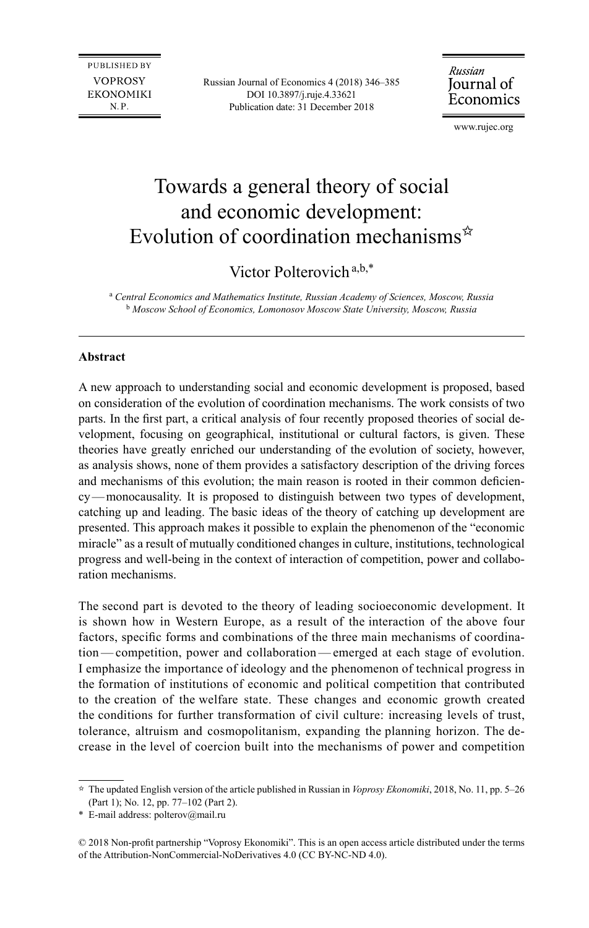**PUBLISHED BY VOPROSY EKONOMIKI** N.P.

Russian Journal of Economics 4 (2018) 346–385 DOI 10.3897/j.ruje.4.33621 Publication date: 31 December 2018

Russian Journal of Economics

[www.rujec.org](http://www.rujec.org)

# Towards a general theory of social and economic development: Evolution of coordination mechanisms $\dot{x}$

# Victor Polterovich<sup>a,b,\*</sup>

<sup>a</sup> Central Economics and Mathematics Institute, Russian Academy of Sciences, Moscow, Russia b  *Moscow School of Economics, Lomonosov Moscow State University, Moscow, Russia* 

# **Abstract**

A new approach to understanding social and economic development is proposed, based on consideration of the evolution of coordination mechanisms. The work consists of two parts. In the first part, a critical analysis of four recently proposed theories of social development, focusing on geographical, institutional or cultural factors, is given. These theories have greatly enriched our understanding of the evolution of society, however, as analysis shows, none of them provides a satisfactory description of the driving forces and mechanisms of this evolution; the main reason is rooted in their common deficiency—monocausality. It is proposed to distinguish between two types of development, catching up and leading. The basic ideas of the theory of catching up development are presented. This approach makes it possible to explain the phenomenon of the "economic miracle" as a result of mutually conditioned changes in culture, institutions, technological progress and well-being in the context of interaction of competition, power and collaboration mechanisms.

The second part is devoted to the theory of leading socioeconomic development. It is shown how in Western Europe, as a result of the interaction of the above four factors, specific forms and combinations of the three main mechanisms of coordination—competition, power and collaboration—emerged at each stage of evolution. I emphasize the importance of ideology and the phenomenon of technical progress in the formation of institutions of economic and political competition that contributed to the creation of the welfare state. These changes and economic growth created the conditions for further transformation of civil culture: increasing levels of trust, tolerance, altruism and cosmopolitanism, expanding the planning horizon. The decrease in the level of coercion built into the mechanisms of power and competition

<sup>✩</sup>  The updated English version of the article published in Russian in *Voprosy Ekonomiki*, 2018, No. 11, pp. 5–26 (Part 1); No. 12, pp. 77–102 (Part 2).

<sup>\*</sup> E-mail address: [polterov@mail.ru](mailto:polterov@mail.ru)

<sup>© 2018</sup> Non-profit partnership "Voprosy Ekonomiki". This is an open access article distributed under the terms of the Attribution-NonCommercial-NoDerivatives 4.0 (CC BY-NC-ND 4.0).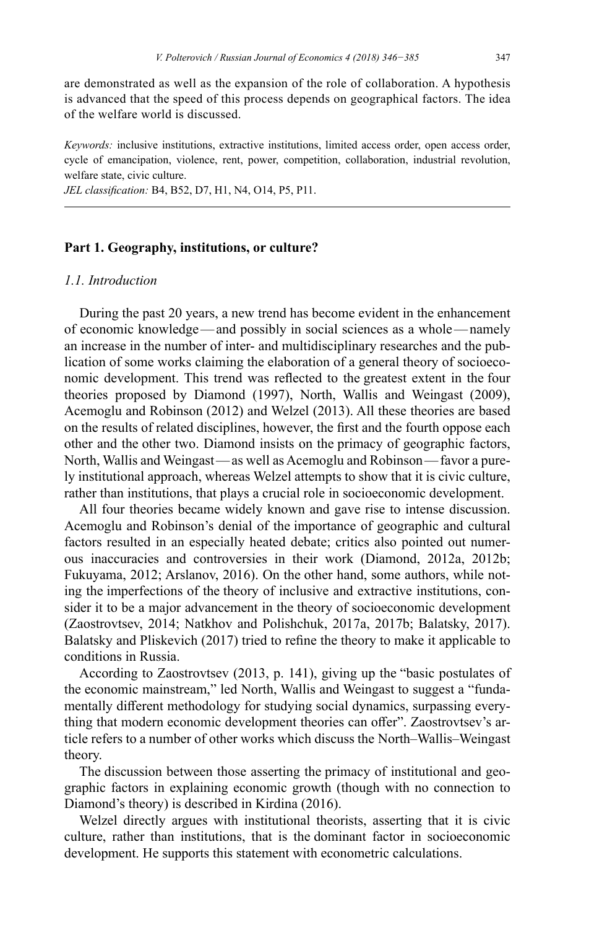are demonstrated as well as the expansion of the role of collaboration. A hypothesis is advanced that the speed of this process depends on geographical factors. The idea of the welfare world is discussed.

*Keywords:* inclusive institutions, extractive institutions, limited access order, open access order, cycle of emancipation, violence, rent, power, competition, collaboration, industrial revolution, welfare state, civic culture.

*JEL classification:* B4, B52, D7, H1, N4, O14, P5, P11.

#### **Part 1. Geography, institutions, or culture?**

#### *1.1. Introduction*

During the past 20 years, a new trend has become evident in the enhancement of economic knowledge—and possibly in social sciences as a whole—namely an increase in the number of inter- and multidisciplinary researches and the publication of some works claiming the elaboration of a general theory of socioeconomic development. This trend was reflected to the greatest extent in the four theories proposed by Diamond (1997), North, Wallis and Weingast (2009), Acemoglu and Robinson (2012) and Welzel (2013). All these theories are based on the results of related disciplines, however, the first and the fourth oppose each other and the other two. Diamond insists on the primacy of geographic factors, North, Wallis and Weingast—as well as Acemoglu and Robinson—favor a purely institutional approach, whereas Welzel attempts to show that it is civic culture, rather than institutions, that plays a crucial role in socioeconomic development.

All four theories became widely known and gave rise to intense discussion. Acemoglu and Robinson's denial of the importance of geographic and cultural factors resulted in an especially heated debate; critics also pointed out numerous inaccuracies and controversies in their work (Diamond, 2012а, 2012b; Fukuyama, 2012; Arslanov, 2016). On the other hand, some authors, while noting the imperfections of the theory of inclusive and extractive institutions, consider it to be a major advancement in the theory of socioeconomic development (Zaostrovtsev, 2014; Natkhov and Polishchuk, 2017a, 2017b; Balatsky, 2017). Balatsky and Pliskevich (2017) tried to refine the theory to make it applicable to conditions in Russia.

According to Zaostrovtsev (2013, p. 141), giving up the "basic postulates of the economic mainstream," led North, Wallis and Weingast to suggest a "fundamentally different methodology for studying social dynamics, surpassing everything that modern economic development theories can offer". Zaostrovtsev's article refers to a number of other works which discuss the North–Wallis–Weingast theory.

The discussion between those asserting the primacy of institutional and geographic factors in explaining economic growth (though with no connection to Diamond's theory) is described in Kirdina (2016).

Welzel directly argues with institutional theorists, asserting that it is civic culture, rather than institutions, that is the dominant factor in socioeconomic development. He supports this statement with econometric calculations.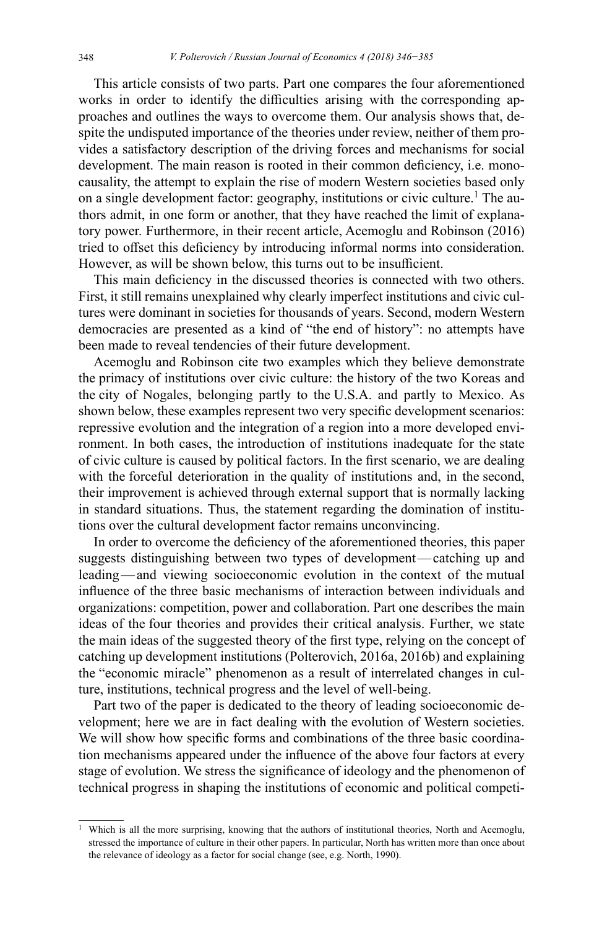This article consists of two parts. Part one compares the four aforementioned works in order to identify the difficulties arising with the corresponding approaches and outlines the ways to overcome them. Our analysis shows that, despite the undisputed importance of the theories under review, neither of them provides a satisfactory description of the driving forces and mechanisms for social development. The main reason is rooted in their common deficiency, i.e. monocausality, the attempt to explain the rise of modern Western societies based only on a single development factor: geography, institutions or civic culture.<sup>1</sup> The authors admit, in one form or another, that they have reached the limit of explanatory power. Furthermore, in their recent article, Acemoglu and Robinson (2016) tried to offset this deficiency by introducing informal norms into consideration. However, as will be shown below, this turns out to be insufficient.

This main deficiency in the discussed theories is connected with two others. First, it still remains unexplained why clearly imperfect institutions and civic cultures were dominant in societies for thousands of years. Second, modern Western democracies are presented as a kind of "the end of history": no attempts have been made to reveal tendencies of their future development.

Acemoglu and Robinson cite two examples which they believe demonstrate the primacy of institutions over civic culture: the history of the two Koreas and the city of Nogales, belonging partly to the U.S.A. and partly to Mexico. As shown below, these examples represent two very specific development scenarios: repressive evolution and the integration of a region into a more developed environment. In both cases, the introduction of institutions inadequate for the state of civic culture is caused by political factors. In the first scenario, we are dealing with the forceful deterioration in the quality of institutions and, in the second, their improvement is achieved through external support that is normally lacking in standard situations. Thus, the statement regarding the domination of institutions over the cultural development factor remains unconvincing.

In order to overcome the deficiency of the aforementioned theories, this paper suggests distinguishing between two types of development—catching up and leading—and viewing socioeconomic evolution in the context of the mutual influence of the three basic mechanisms of interaction between individuals and organizations: competition, power and collaboration. Part one describes the main ideas of the four theories and provides their critical analysis. Further, we state the main ideas of the suggested theory of the first type, relying on the concept of catching up development institutions (Polterovich, 2016a, 2016b) and explaining the "economic miracle" phenomenon as a result of interrelated changes in culture, institutions, technical progress and the level of well-being.

Part two of the paper is dedicated to the theory of leading socioeconomic development; here we are in fact dealing with the evolution of Western societies. We will show how specific forms and combinations of the three basic coordination mechanisms appeared under the influence of the above four factors at every stage of evolution. We stress the significance of ideology and the phenomenon of technical progress in shaping the institutions of economic and political competi-

Which is all the more surprising, knowing that the authors of institutional theories, North and Acemoglu, stressed the importance of culture in their other papers. In particular, North has written more than once about the relevance of ideology as a factor for social change (see, e.g. North, 1990).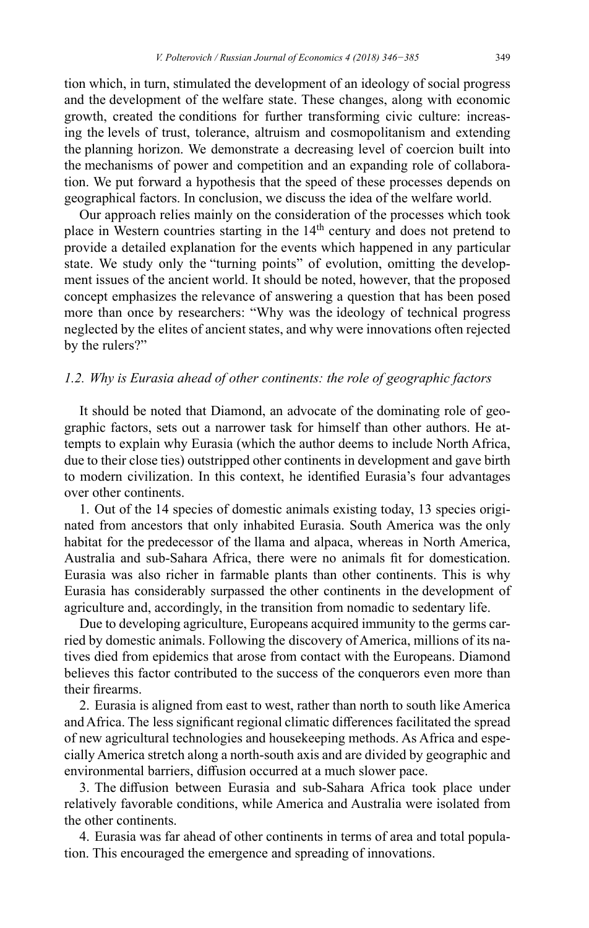tion which, in turn, stimulated the development of an ideology of social progress and the development of the welfare state. These changes, along with economic growth, created the conditions for further transforming civic culture: increasing the levels of trust, tolerance, altruism and cosmopolitanism and extending the planning horizon. We demonstrate a decreasing level of coercion built into the mechanisms of power and competition and an expanding role of collaboration. We put forward a hypothesis that the speed of these processes depends on geographical factors. In conclusion, we discuss the idea of the welfare world.

Our approach relies mainly on the consideration of the processes which took place in Western countries starting in the 14<sup>th</sup> century and does not pretend to provide a detailed explanation for the events which happened in any particular state. We study only the "turning points" of evolution, omitting the development issues of the ancient world. It should be noted, however, that the proposed concept emphasizes the relevance of answering a question that has been posed more than once by researchers: "Why was the ideology of technical progress neglected by the elites of ancient states, and why were innovations often rejected by the rulers?"

# *1.2. Why is Eurasia ahead of other continents: the role of geographic factors*

It should be noted that Diamond, an advocate of the dominating role of geographic factors, sets out a narrower task for himself than other authors. He attempts to explain why Eurasia (which the author deems to include North Africa, due to their close ties) outstripped other continents in development and gave birth to modern civilization. In this context, he identified Eurasia's four advantages over other continents.

1. Out of the 14 species of domestic animals existing today, 13 species originated from ancestors that only inhabited Eurasia. South America was the only habitat for the predecessor of the llama and alpaca, whereas in North America, Australia and sub-Sahara Africa, there were no animals fit for domestication. Eurasia was also richer in farmable plants than other continents. This is why Eurasia has considerably surpassed the other continents in the development of agriculture and, accordingly, in the transition from nomadic to sedentary life.

Due to developing agriculture, Europeans acquired immunity to the germs carried by domestic animals. Following the discovery of America, millions of its natives died from epidemics that arose from contact with the Europeans. Diamond believes this factor contributed to the success of the conquerors even more than their firearms.

2. Eurasia is aligned from east to west, rather than north to south like America and Africa. The less significant regional climatic differences facilitated the spread of new agricultural technologies and housekeeping methods. As Africa and especially America stretch along a north-south axis and are divided by geographic and environmental barriers, diffusion occurred at a much slower pace.

3. The diffusion between Eurasia and sub-Sahara Africa took place under relatively favorable conditions, while America and Australia were isolated from the other continents.

4. Eurasia was far ahead of other continents in terms of area and total population. This encouraged the emergence and spreading of innovations.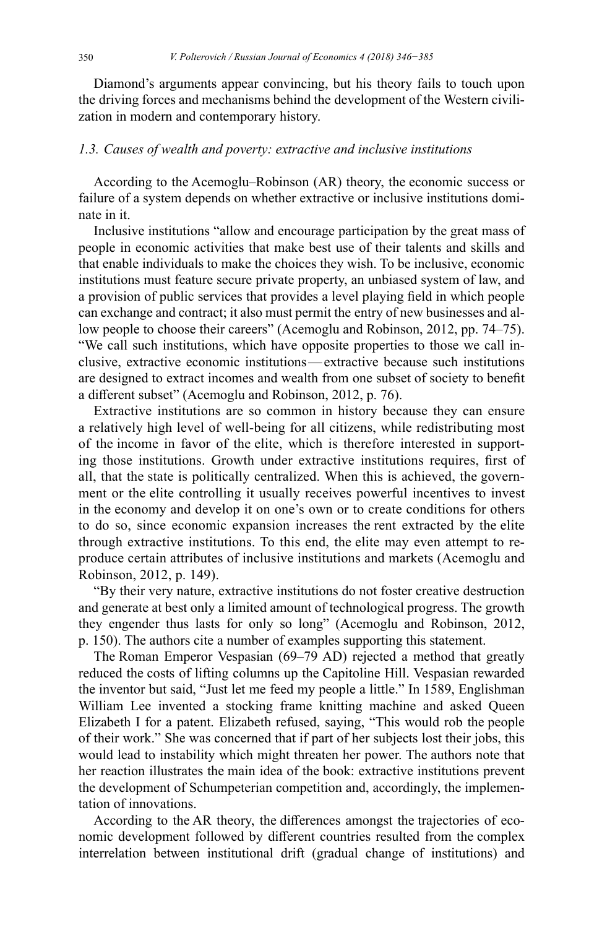Diamond's arguments appear convincing, but his theory fails to touch upon the driving forces and mechanisms behind the development of the Western civilization in modern and contemporary history.

# *1.3. Causes of wealth and poverty: extractive and inclusive institutions*

According to the Acemoglu–Robinson (AR) theory, the economic success or failure of a system depends on whether extractive or inclusive institutions dominate in it.

Inclusive institutions "allow and encourage participation by the great mass of people in economic activities that make best use of their talents and skills and that enable individuals to make the choices they wish. To be inclusive, economic institutions must feature secure private property, an unbiased system of law, and a provision of public services that provides a level playing field in which people can exchange and contract; it also must permit the entry of new businesses and allow people to choose their careers" (Acemoglu and Robinson, 2012, pp. 74–75). "We call such institutions, which have opposite properties to those we call inclusive, extractive economic institutions—extractive because such institutions are designed to extract incomes and wealth from one subset of society to benefit a different subset" (Acemoglu and Robinson, 2012, p. 76).

Extractive institutions are so common in history because they can ensure a relatively high level of well-being for all citizens, while redistributing most of the income in favor of the elite, which is therefore interested in supporting those institutions. Growth under extractive institutions requires, first of all, that the state is politically centralized. When this is achieved, the government or the elite controlling it usually receives powerful incentives to invest in the economy and develop it on one's own or to create conditions for others to do so, since economic expansion increases the rent extracted by the elite through extractive institutions. To this end, the elite may even attempt to reproduce certain attributes of inclusive institutions and markets (Acemoglu and Robinson, 2012, p. 149).

"By their very nature, extractive institutions do not foster creative destruction and generate at best only a limited amount of technological progress. The growth they engender thus lasts for only so long" (Acemoglu and Robinson, 2012, p. 150). The authors cite a number of examples supporting this statement.

The Roman Emperor Vespasian (69–79 AD) rejected a method that greatly reduced the costs of lifting columns up the Capitoline Hill. Vespasian rewarded the inventor but said, "Just let me feed my people a little." In 1589, Englishman William Lee invented a stocking frame knitting machine and asked Queen Elizabeth I for a patent. Elizabeth refused, saying, "This would rob the people of their work." She was concerned that if part of her subjects lost their jobs, this would lead to instability which might threaten her power. The authors note that her reaction illustrates the main idea of the book: extractive institutions prevent the development of Schumpeterian competition and, accordingly, the implementation of innovations.

According to the AR theory, the differences amongst the trajectories of economic development followed by different countries resulted from the complex interrelation between institutional drift (gradual change of institutions) and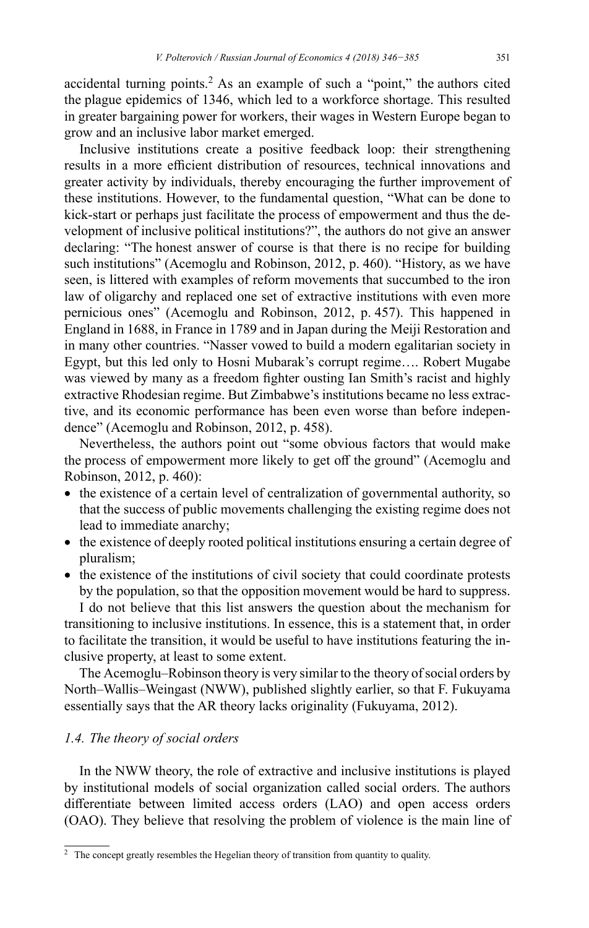accidental turning points.<sup>2</sup> As an example of such a "point," the authors cited the plague epidemics of 1346, which led to a workforce shortage. This resulted in greater bargaining power for workers, their wages in Western Europe began to grow and an inclusive labor market emerged.

Inclusive institutions create a positive feedback loop: their strengthening results in a more efficient distribution of resources, technical innovations and greater activity by individuals, thereby encouraging the further improvement of these institutions. However, to the fundamental question, "What can be done to kick-start or perhaps just facilitate the process of empowerment and thus the development of inclusive political institutions?", the authors do not give an answer declaring: "The honest answer of course is that there is no recipe for building such institutions" (Acemoglu and Robinson, 2012, p. 460). "History, as we have seen, is littered with examples of reform movements that succumbed to the iron law of oligarchy and replaced one set of extractive institutions with even more pernicious ones" (Acemoglu and Robinson, 2012, p. 457). This happened in England in 1688, in France in 1789 and in Japan during the Meiji Restoration and in many other countries. "Nasser vowed to build a modern egalitarian society in Egypt, but this led only to Hosni Mubarak's corrupt regime…. Robert Mugabe was viewed by many as a freedom fighter ousting Ian Smith's racist and highly extractive Rhodesian regime. But Zimbabwe's institutions became no less extractive, and its economic performance has been even worse than before independence" (Acemoglu and Robinson, 2012, p. 458).

Nevertheless, the authors point out "some obvious factors that would make the process of empowerment more likely to get off the ground" (Acemoglu and Robinson, 2012, p. 460):

- the existence of a certain level of centralization of governmental authority, so that the success of public movements challenging the existing regime does not lead to immediate anarchy;
- the existence of deeply rooted political institutions ensuring a certain degree of pluralism;
- the existence of the institutions of civil society that could coordinate protests by the population, so that the opposition movement would be hard to suppress.

I do not believe that this list answers the question about the mechanism for transitioning to inclusive institutions. In essence, this is a statement that, in order to facilitate the transition, it would be useful to have institutions featuring the inclusive property, at least to some extent.

The Acemoglu–Robinson theory is very similar to the theory of social orders by North–Wallis–Weingast (NWW), published slightly earlier, so that F. Fukuyama essentially says that the AR theory lacks originality (Fukuyama, 2012).

# *1.4. The theory of social orders*

In the NWW theory, the role of extractive and inclusive institutions is played by institutional models of social organization called social orders. The authors differentiate between limited access orders (LAO) and open access orders (OAO). They believe that resolving the problem of violence is the main line of

<sup>&</sup>lt;sup>2</sup> The concept greatly resembles the Hegelian theory of transition from quantity to quality.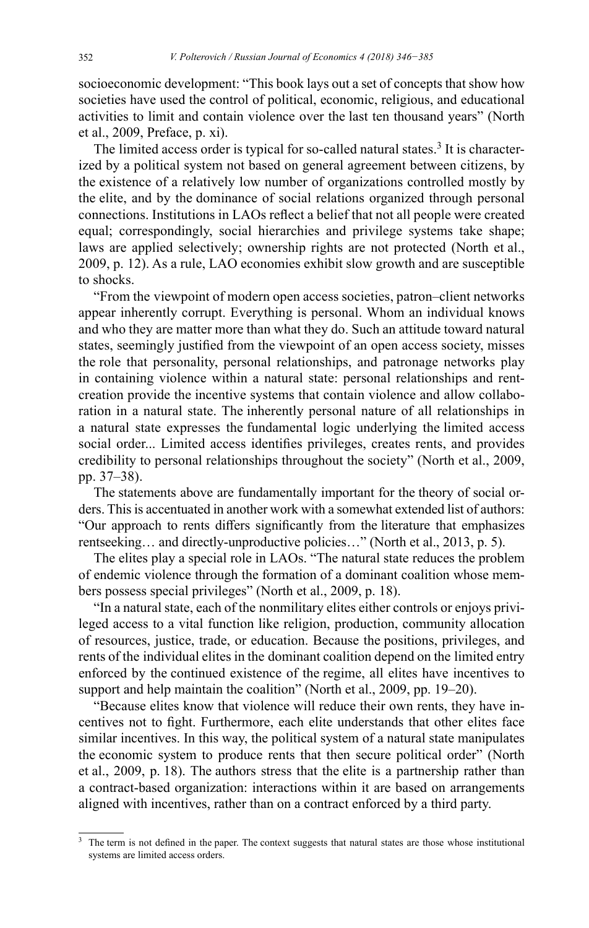socioeconomic development: "This book lays out a set of concepts that show how societies have used the control of political, economic, religious, and educational activities to limit and contain violence over the last ten thousand years" (North et al., 2009, Preface, p. xi).

The limited access order is typical for so-called natural states.<sup>3</sup> It is characterized by a political system not based on general agreement between citizens, by the existence of a relatively low number of organizations controlled mostly by the elite, and by the dominance of social relations organized through personal connections. Institutions in LAOs reflect a belief that not all people were created equal; correspondingly, social hierarchies and privilege systems take shape; laws are applied selectively; ownership rights are not protected (North et al., 2009, p. 12). As a rule, LAO economies exhibit slow growth and are susceptible to shocks.

"From the viewpoint of modern open access societies, patron–client networks appear inherently corrupt. Everything is personal. Whom an individual knows and who they are matter more than what they do. Such an attitude toward natural states, seemingly justified from the viewpoint of an open access society, misses the role that personality, personal relationships, and patronage networks play in containing violence within a natural state: personal relationships and rentcreation provide the incentive systems that contain violence and allow collaboration in a natural state. The inherently personal nature of all relationships in a natural state expresses the fundamental logic underlying the limited access social order... Limited access identifies privileges, creates rents, and provides credibility to personal relationships throughout the society" (North et al., 2009, pp. 37–38).

The statements above are fundamentally important for the theory of social orders. This is accentuated in another work with a somewhat extended list of authors: "Our approach to rents differs significantly from the literature that emphasizes rentseeking… and directly-unproductive policies…" (North et al., 2013, p. 5).

The elites play a special role in LAOs. "The natural state reduces the problem of endemic violence through the formation of a dominant coalition whose members possess special privileges" (North et al., 2009, p. 18).

"In a natural state, each of the nonmilitary elites either controls or enjoys privileged access to a vital function like religion, production, community allocation of resources, justice, trade, or education. Because the positions, privileges, and rents of the individual elites in the dominant coalition depend on the limited entry enforced by the continued existence of the regime, all elites have incentives to support and help maintain the coalition" (North et al., 2009, pp. 19–20).

"Because elites know that violence will reduce their own rents, they have incentives not to fight. Furthermore, each elite understands that other elites face similar incentives. In this way, the political system of a natural state manipulates the economic system to produce rents that then secure political order" (North et al., 2009, p. 18). The authors stress that the elite is a partnership rather than a contract-based organization: interactions within it are based on arrangements aligned with incentives, rather than on a contract enforced by a third party.

The term is not defined in the paper. The context suggests that natural states are those whose institutional systems are limited access orders.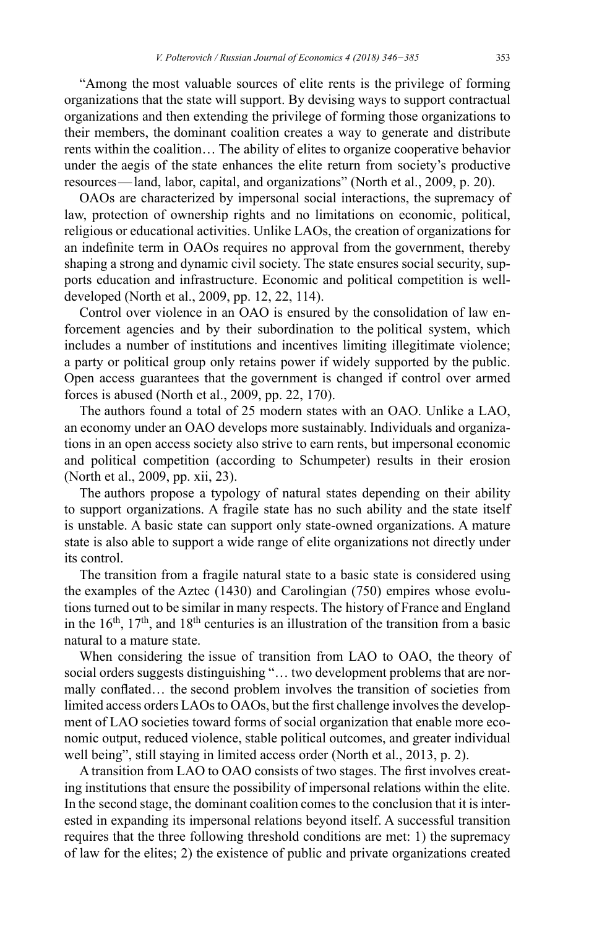"Among the most valuable sources of elite rents is the privilege of forming organizations that the state will support. By devising ways to support contractual organizations and then extending the privilege of forming those organizations to their members, the dominant coalition creates a way to generate and distribute rents within the coalition… The ability of elites to organize cooperative behavior under the aegis of the state enhances the elite return from society's productive resources—land, labor, capital, and organizations" (North et al., 2009, p. 20).

OAOs are characterized by impersonal social interactions, the supremacy of law, protection of ownership rights and no limitations on economic, political, religious or educational activities. Unlike LAOs, the creation of organizations for an indefinite term in OAOs requires no approval from the government, thereby shaping a strong and dynamic civil society. The state ensures social security, supports education and infrastructure. Economic and political competition is welldeveloped (North et al., 2009, pp. 12, 22, 114).

Control over violence in an OAO is ensured by the consolidation of law enforcement agencies and by their subordination to the political system, which includes a number of institutions and incentives limiting illegitimate violence; a party or political group only retains power if widely supported by the public. Open access guarantees that the government is changed if control over armed forces is abused (North et al., 2009, pp. 22, 170).

The authors found a total of 25 modern states with an OAO. Unlike a LAO, an economy under an OAO develops more sustainably. Individuals and organizations in an open access society also strive to earn rents, but impersonal economic and political competition (according to Schumpeter) results in their erosion (North et al., 2009, pp. xii, 23).

The authors propose a typology of natural states depending on their ability to support organizations. A fragile state has no such ability and the state itself is unstable. A basic state can support only state-owned organizations. A mature state is also able to support a wide range of elite organizations not directly under its control.

The transition from a fragile natural state to a basic state is considered using the examples of the Aztec (1430) and Carolingian (750) empires whose evolutions turned out to be similar in many respects. The history of France and England in the  $16<sup>th</sup>$ ,  $17<sup>th</sup>$ , and  $18<sup>th</sup>$  centuries is an illustration of the transition from a basic natural to a mature state.

When considering the issue of transition from LAO to OAO, the theory of social orders suggests distinguishing "… two development problems that are normally conflated… the second problem involves the transition of societies from limited access orders LAOs to OAOs, but the first challenge involves the development of LAO societies toward forms of social organization that enable more economic output, reduced violence, stable political outcomes, and greater individual well being", still staying in limited access order (North et al., 2013, p. 2).

A transition from LAO to OAO consists of two stages. The first involves creating institutions that ensure the possibility of impersonal relations within the elite. In the second stage, the dominant coalition comes to the conclusion that it is interested in expanding its impersonal relations beyond itself. A successful transition requires that the three following threshold conditions are met: 1) the supremacy of law for the elites; 2) the existence of public and private organizations created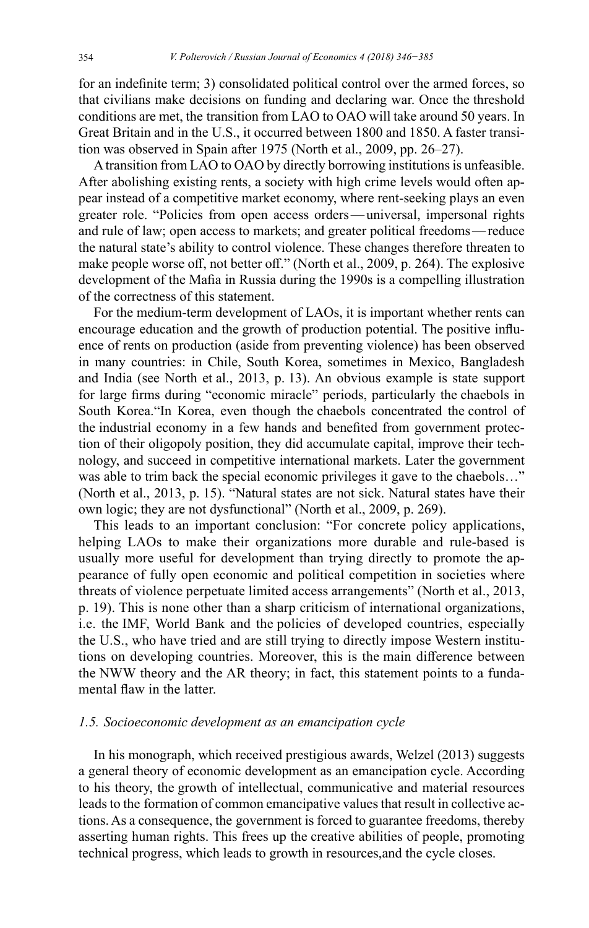for an indefinite term; 3) consolidated political control over the armed forces, so that civilians make decisions on funding and declaring war. Once the threshold conditions are met, the transition from LAO to OAO will take around 50 years. In Great Britain and in the U.S., it occurred between 1800 and 1850. A faster transition was observed in Spain after 1975 (North et al., 2009, pp. 26–27).

Atransition from LAO to OAO by directly borrowing institutions is unfeasible. After abolishing existing rents, a society with high crime levels would often appear instead of a competitive market economy, where rent-seeking plays an even greater role. "Policies from open access orders—universal, impersonal rights and rule of law; open access to markets; and greater political freedoms—reduce the natural state's ability to control violence. These changes therefore threaten to make people worse off, not better off." (North et al., 2009, p. 264). The explosive development of the Mafia in Russia during the 1990s is a compelling illustration of the correctness of this statement.

For the medium-term development of LAOs, it is important whether rents can encourage education and the growth of production potential. The positive influence of rents on production (aside from preventing violence) has been observed in many countries: in Chile, South Korea, sometimes in Mexico, Bangladesh and India (see North et al., 2013, p. 13). An obvious example is state support for large firms during "economic miracle" periods, particularly the chaebols in South Korea."In Korea, even though the chaebols concentrated the control of the industrial economy in a few hands and benefited from government protection of their oligopoly position, they did accumulate capital, improve their technology, and succeed in competitive international markets. Later the government was able to trim back the special economic privileges it gave to the chaebols..." (North et al., 2013, p. 15). "Natural states are not sick. Natural states have their own logic; they are not dysfunctional" (North et al., 2009, p. 269).

This leads to an important conclusion: "For concrete policy applications, helping LAOs to make their organizations more durable and rule-based is usually more useful for development than trying directly to promote the appearance of fully open economic and political competition in societies where threats of violence perpetuate limited access arrangements" (North et al., 2013, p. 19). This is none other than a sharp criticism of international organizations, i.e. the IMF, World Bank and the policies of developed countries, especially the U.S., who have tried and are still trying to directly impose Western institutions on developing countries. Moreover, this is the main difference between the NWW theory and the АR theory; in fact, this statement points to a fundamental flaw in the latter.

#### *1.5. Socioeconomic development as an emancipation cycle*

In his monograph, which received prestigious awards, Welzel (2013) suggests a general theory of economic development as an emancipation cycle. According to his theory, the growth of intellectual, communicative and material resources leads to the formation of common emancipative values that result in collective actions. As a consequence, the government is forced to guarantee freedoms, thereby asserting human rights. This frees up the creative abilities of people, promoting technical progress, which leads to growth in resources,and the cycle closes.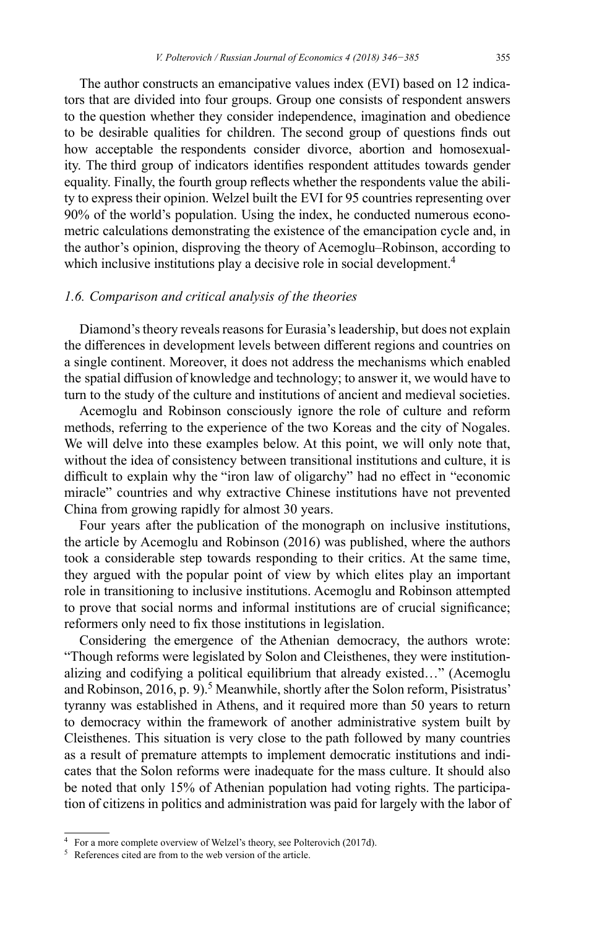The author constructs an emancipative values index (EVI) based on 12 indicators that are divided into four groups. Group one consists of respondent answers to the question whether they consider independence, imagination and obedience to be desirable qualities for children. The second group of questions finds out how acceptable the respondents consider divorce, abortion and homosexuality. The third group of indicators identifies respondent attitudes towards gender equality. Finally, the fourth group reflects whether the respondents value the ability to express their opinion. Welzel built the EVI for 95 countries representing over 90% of the world's population. Using the index, he conducted numerous econometric calculations demonstrating the existence of the emancipation cycle and, in the author's opinion, disproving the theory of Acemoglu–Robinson, according to which inclusive institutions play a decisive role in social development.<sup>4</sup>

# *1.6. Comparison and critical analysis of the theories*

Diamond's theory reveals reasons for Eurasia's leadership, but does not explain the differences in development levels between different regions and countries on a single continent. Moreover, it does not address the mechanisms which enabled the spatial diffusion of knowledge and technology; to answer it, we would have to turn to the study of the culture and institutions of ancient and medieval societies.

Acemoglu and Robinson consciously ignore the role of culture and reform methods, referring to the experience of the two Koreas and the city of Nogales. We will delve into these examples below. At this point, we will only note that, without the idea of consistency between transitional institutions and culture, it is difficult to explain why the "iron law of oligarchy" had no effect in "economic miracle" countries and why extractive Chinese institutions have not prevented China from growing rapidly for almost 30 years.

Four years after the publication of the monograph on inclusive institutions, the article by Acemoglu and Robinson (2016) was published, where the authors took a considerable step towards responding to their critics. At the same time, they argued with the popular point of view by which elites play an important role in transitioning to inclusive institutions. Acemoglu and Robinson attempted to prove that social norms and informal institutions are of crucial significance; reformers only need to fix those institutions in legislation.

Considering the emergence of the Athenian democracy, the authors wrote: "Though reforms were legislated by Solon and Cleisthenes, they were institutionalizing and codifying a political equilibrium that already existed…" (Acemoglu and Robinson, 2016, p. 9).<sup>5</sup> Meanwhile, shortly after the Solon reform, Pisistratus' tyranny was established in Athens, and it required more than 50 years to return to democracy within the framework of another administrative system built by Cleisthenes. This situation is very close to the path followed by many countries as a result of premature attempts to implement democratic institutions and indicates that the Solon reforms were inadequate for the mass culture. It should also be noted that only 15% of Athenian population had voting rights. The participation of citizens in politics and administration was paid for largely with the labor of

<sup>4</sup> For a more complete overview of Welzel's theory, see Polterovich (2017d).

<sup>5</sup> References cited are from to the web version of the article.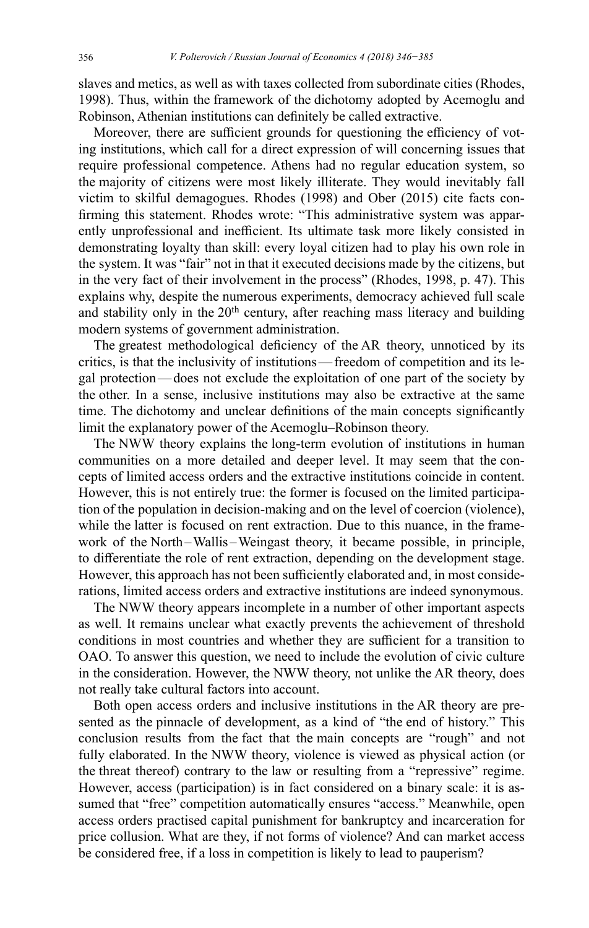slaves and metics, as well as with taxes collected from subordinate cities (Rhodes, 1998). Thus, within the framework of the dichotomy adopted by Acemoglu and Robinson, Athenian institutions can definitely be called extractive.

Moreover, there are sufficient grounds for questioning the efficiency of voting institutions, which call for a direct expression of will concerning issues that require professional competence. Athens had no regular education system, so the majority of citizens were most likely illiterate. They would inevitably fall victim to skilful demagogues. Rhodes (1998) and Ober (2015) cite facts confirming this statement. Rhodes wrote: "This administrative system was apparently unprofessional and inefficient. Its ultimate task more likely consisted in demonstrating loyalty than skill: every loyal citizen had to play his own role in the system. It was "fair" not in that it executed decisions made by the citizens, but in the very fact of their involvement in the process" (Rhodes, 1998, p. 47). This explains why, despite the numerous experiments, democracy achieved full scale and stability only in the  $20<sup>th</sup>$  century, after reaching mass literacy and building modern systems of government administration.

The greatest methodological deficiency of the AR theory, unnoticed by its critics, is that the inclusivity of institutions—freedom of competition and its legal protection—does not exclude the exploitation of one part of the society by the other. In a sense, inclusive institutions may also be extractive at the same time. The dichotomy and unclear definitions of the main concepts significantly limit the explanatory power of the Acemoglu–Robinson theory.

The NWW theory explains the long-term evolution of institutions in human communities on a more detailed and deeper level. It may seem that the concepts of limited access orders and the extractive institutions coincide in content. However, this is not entirely true: the former is focused on the limited participation of the population in decision-making and on the level of coercion (violence), while the latter is focused on rent extraction. Due to this nuance, in the framework of the North–Wallis–Weingast theory, it became possible, in principle, to differentiate the role of rent extraction, depending on the development stage. However, this approach has not been sufficiently elaborated and, in most considerations, limited access orders and extractive institutions are indeed synonymous.

The NWW theory appears incomplete in a number of other important aspects as well. It remains unclear what exactly prevents the achievement of threshold conditions in most countries and whether they are sufficient for a transition to OAO. To answer this question, we need to include the evolution of civic culture in the consideration. However, the NWW theory, not unlike the AR theory, does not really take cultural factors into account.

Both open access orders and inclusive institutions in the AR theory are presented as the pinnacle of development, as a kind of "the end of history." This conclusion results from the fact that the main concepts are "rough" and not fully elaborated. In the NWW theory, violence is viewed as physical action (or the threat thereof) contrary to the law or resulting from a "repressive" regime. However, access (participation) is in fact considered on a binary scale: it is assumed that "free" competition automatically ensures "access." Meanwhile, open access orders practised capital punishment for bankruptcy and incarceration for price collusion. What are they, if not forms of violence? And can market access be considered free, if a loss in competition is likely to lead to pauperism?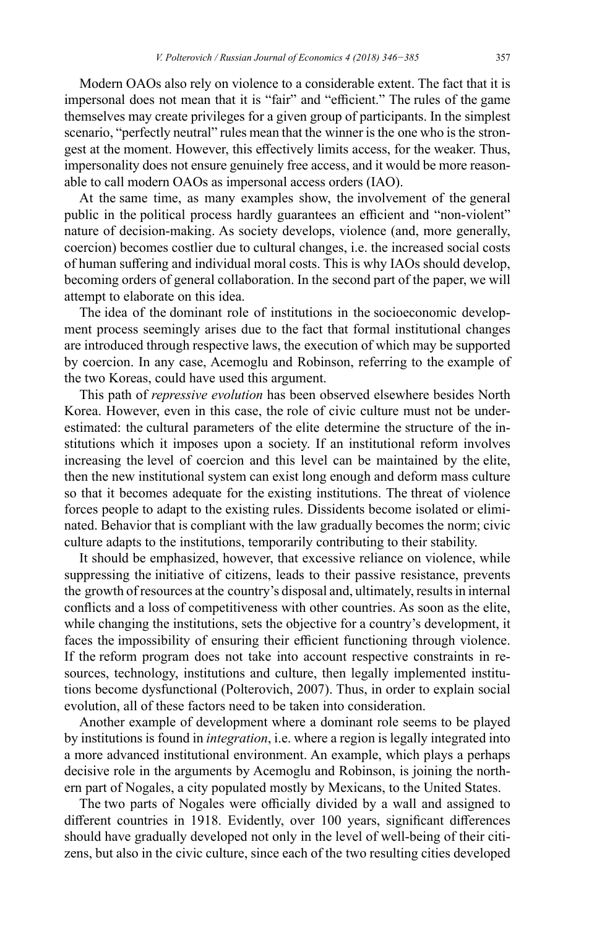Modern OAOs also rely on violence to a considerable extent. The fact that it is impersonal does not mean that it is "fair" and "efficient." The rules of the game themselves may create privileges for a given group of participants. In the simplest scenario, "perfectly neutral" rules mean that the winner is the one who is the strongest at the moment. However, this effectively limits access, for the weaker. Thus, impersonality does not ensure genuinely free access, and it would be more reasonable to call modern OAOs as impersonal access orders (IAO).

At the same time, as many examples show, the involvement of the general public in the political process hardly guarantees an efficient and "non-violent" nature of decision-making. As society develops, violence (and, more generally, coercion) becomes costlier due to cultural changes, i.e. the increased social costs of human suffering and individual moral costs. This is why IAOs should develop, becoming orders of general collaboration. In the second part of the paper, we will attempt to elaborate on this idea.

The idea of the dominant role of institutions in the socioeconomic development process seemingly arises due to the fact that formal institutional changes are introduced through respective laws, the execution of which may be supported by coercion. In any case, Acemoglu and Robinson, referring to the example of the two Koreas, could have used this argument.

This path of *repressive evolution* has been observed elsewhere besides North Korea. However, even in this case, the role of civic culture must not be underestimated: the cultural parameters of the elite determine the structure of the institutions which it imposes upon a society. If an institutional reform involves increasing the level of coercion and this level can be maintained by the elite, then the new institutional system can exist long enough and deform mass culture so that it becomes adequate for the existing institutions. The threat of violence forces people to adapt to the existing rules. Dissidents become isolated or eliminated. Behavior that is compliant with the law gradually becomes the norm; civic culture adapts to the institutions, temporarily contributing to their stability.

It should be emphasized, however, that excessive reliance on violence, while suppressing the initiative of citizens, leads to their passive resistance, prevents the growth of resources at the country's disposal and, ultimately, results in internal conflicts and a loss of competitiveness with other countries. As soon as the elite, while changing the institutions, sets the objective for a country's development, it faces the impossibility of ensuring their efficient functioning through violence. If the reform program does not take into account respective constraints in resources, technology, institutions and culture, then legally implemented institutions become dysfunctional (Polterovich, 2007). Thus, in order to explain social evolution, all of these factors need to be taken into consideration.

Another example of development where a dominant role seems to be played by institutions is found in *integration*, i.e. where a region is legally integrated into a more advanced institutional environment. An example, which plays a perhaps decisive role in the arguments by Acemoglu and Robinson, is joining the northern part of Nogales, a city populated mostly by Mexicans, to the United States.

The two parts of Nogales were officially divided by a wall and assigned to different countries in 1918. Evidently, over 100 years, significant differences should have gradually developed not only in the level of well-being of their citizens, but also in the civic culture, since each of the two resulting cities developed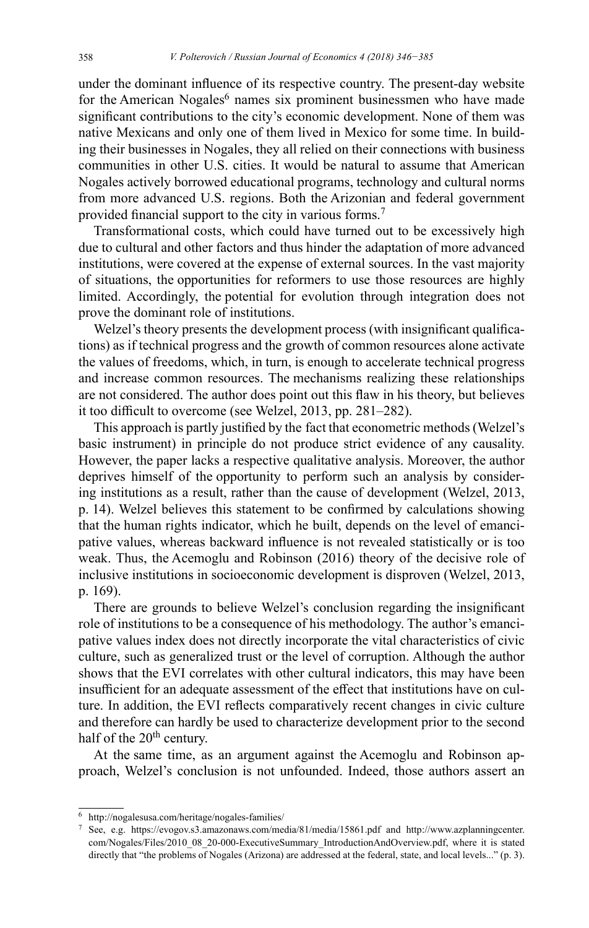under the dominant influence of its respective country. The present-day website for the American Nogales<sup>6</sup> names six prominent businessmen who have made significant contributions to the city's economic development. None of them was native Mexicans and only one of them lived in Mexico for some time. In building their businesses in Nogales, they all relied on their connections with business communities in other U.S. cities. It would be natural to assume that American Nogales actively borrowed educational programs, technology and cultural norms from more advanced U.S. regions. Both the Arizonian and federal government provided financial support to the city in various forms.<sup>7</sup>

Transformational costs, which could have turned out to be excessively high due to cultural and other factors and thus hinder the adaptation of more advanced institutions, were covered at the expense of external sources. In the vast majority of situations, the opportunities for reformers to use those resources are highly limited. Accordingly, the potential for evolution through integration does not prove the dominant role of institutions.

Welzel's theory presents the development process (with insignificant qualifications) as if technical progress and the growth of common resources alone activate the values of freedoms, which, in turn, is enough to accelerate technical progress and increase common resources. The mechanisms realizing these relationships are not considered. The author does point out this flaw in his theory, but believes it too difficult to overcome (see Welzel, 2013, pp. 281–282).

This approach is partly justified by the fact that econometric methods (Welzel's basic instrument) in principle do not produce strict evidence of any causality. However, the paper lacks a respective qualitative analysis. Moreover, the author deprives himself of the opportunity to perform such an analysis by considering institutions as a result, rather than the cause of development (Welzel, 2013, p. 14). Welzel believes this statement to be confirmed by calculations showing that the human rights indicator, which he built, depends on the level of emancipative values, whereas backward influence is not revealed statistically or is too weak. Thus, the Acemoglu and Robinson (2016) theory of the decisive role of inclusive institutions in socioeconomic development is disproven (Welzel, 2013, p. 169).

There are grounds to believe Welzel's conclusion regarding the insignificant role of institutions to be a consequence of his methodology. The author's emancipative values index does not directly incorporate the vital characteristics of civic culture, such as generalized trust or the level of corruption. Although the author shows that the EVI correlates with other cultural indicators, this may have been insufficient for an adequate assessment of the effect that institutions have on culture. In addition, the EVI reflects comparatively recent changes in civic culture and therefore can hardly be used to characterize development prior to the second half of the 20<sup>th</sup> century.

At the same time, as an argument against the Acemoglu and Robinson approach, Welzel's conclusion is not unfounded. Indeed, those authors assert an

<sup>6</sup> <http://nogalesusa.com/heritage/nogales-families/>7 See, e.g. <https://evogov.s3.amazonaws.com/media/81/media/15861.pdf> and [http://www.azplanningcenter.](http://www.azplanningcenter.com/Nogales/Files/2010_08_20-000-ExecutiveSummary_IntroductionAndOverview.pdf) [com/Nogales/Files/2010\\_08\\_20-000-ExecutiveSummary\\_IntroductionAndOverview.pdf](http://www.azplanningcenter.com/Nogales/Files/2010_08_20-000-ExecutiveSummary_IntroductionAndOverview.pdf), where it is stated directly that "the problems of Nogales (Arizona) are addressed at the federal, state, and local levels..." (p. 3).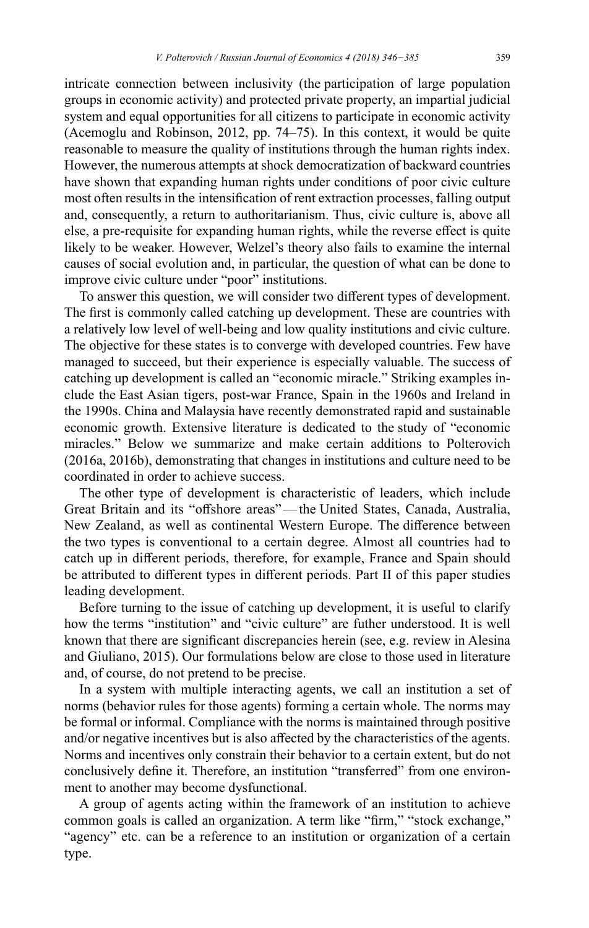intricate connection between inclusivity (the participation of large population groups in economic activity) and protected private property, an impartial judicial system and equal opportunities for all citizens to participate in economic activity (Acemoglu and Robinson, 2012, pp. 74–75). In this context, it would be quite reasonable to measure the quality of institutions through the human rights index. However, the numerous attempts at shock democratization of backward countries have shown that expanding human rights under conditions of poor civic culture most often results in the intensification of rent extraction processes, falling output and, consequently, a return to authoritarianism. Thus, civic culture is, above all else, a pre-requisite for expanding human rights, while the reverse effect is quite likely to be weaker. However, Welzel's theory also fails to examine the internal causes of social evolution and, in particular, the question of what can be done to improve civic culture under "poor" institutions.

To answer this question, we will consider two different types of development. The first is commonly called catching up development. These are countries with a relatively low level of well-being and low quality institutions and civic culture. The objective for these states is to converge with developed countries. Few have managed to succeed, but their experience is especially valuable. The success of catching up development is called an "economic miracle." Striking examples include the East Asian tigers, post-war France, Spain in the 1960s and Ireland in the 1990s. China and Malaysia have recently demonstrated rapid and sustainable economic growth. Extensive literature is dedicated to the study of "economic miracles." Below we summarize and make certain additions to Polterovich (2016a, 2016b), demonstrating that changes in institutions and culture need to be coordinated in order to achieve success.

The other type of development is characteristic of leaders, which include Great Britain and its "offshore areas"—the United States, Canada, Australia, New Zealand, as well as continental Western Europe. The difference between the two types is conventional to a certain degree. Almost all countries had to catch up in different periods, therefore, for example, France and Spain should be attributed to different types in different periods. Part II of this paper studies leading development.

Before turning to the issue of catching up development, it is useful to clarify how the terms "institution" and "civic culture" are futher understood. It is well known that there are significant discrepancies herein (see, e.g. review in Alesina and Giuliano, 2015). Our formulations below are close to those used in literature and, of course, do not pretend to be precise.

In a system with multiple interacting agents, we call an institution a set of norms (behavior rules for those agents) forming a certain whole. The norms may be formal or informal. Compliance with the norms is maintained through positive and/or negative incentives but is also affected by the characteristics of the agents. Norms and incentives only constrain their behavior to a certain extent, but do not conclusively define it. Therefore, an institution "transferred" from one environment to another may become dysfunctional.

A group of agents acting within the framework of an institution to achieve common goals is called an organization. A term like "firm," "stock exchange," "agency" etc. can be a reference to an institution or organization of a certain type.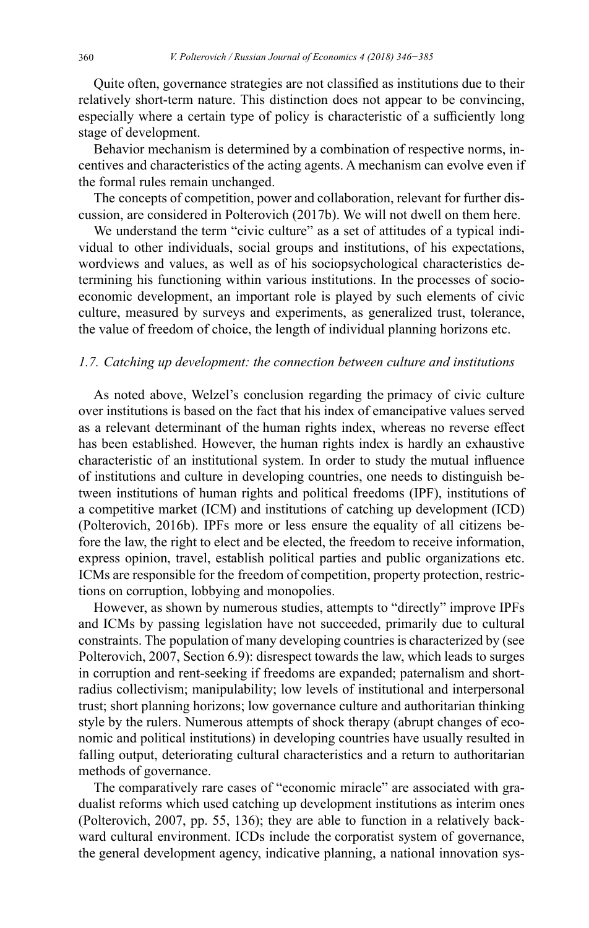Quite often, governance strategies are not classified as institutions due to their relatively short-term nature. This distinction does not appear to be convincing, especially where a certain type of policy is characteristic of a sufficiently long stage of development.

Behavior mechanism is determined by a combination of respective norms, incentives and characteristics of the acting agents. A mechanism can evolve even if the formal rules remain unchanged.

The concepts of competition, power and collaboration, relevant for further discussion, are considered in Polterovich (2017b). We will not dwell on them here.

We understand the term "civic culture" as a set of attitudes of a typical individual to other individuals, social groups and institutions, of his expectations, wordviews and values, as well as of his sociopsychological characteristics determining his functioning within various institutions. In the processes of socioeconomic development, an important role is played by such elements of civic culture, measured by surveys and experiments, as generalized trust, tolerance, the value of freedom of choice, the length of individual planning horizons etc.

#### *1.7. Catching up development: the connection between culture and institutions*

As noted above, Welzel's conclusion regarding the primacy of civic culture over institutions is based on the fact that his index of emancipative values served as a relevant determinant of the human rights index, whereas no reverse effect has been established. However, the human rights index is hardly an exhaustive characteristic of an institutional system. In order to study the mutual influence of institutions and culture in developing countries, one needs to distinguish between institutions of human rights and political freedoms (IPF), institutions of a competitive market (ICM) and institutions of catching up development (ICD) (Polterovich, 2016b). IPFs more or less ensure the equality of all citizens before the law, the right to elect and be elected, the freedom to receive information, express opinion, travel, establish political parties and public organizations etc. ICMs are responsible for the freedom of competition, property protection, restrictions on corruption, lobbying and monopolies.

However, as shown by numerous studies, attempts to "directly" improve IPFs and ICMs by passing legislation have not succeeded, primarily due to cultural constraints. The population of many developing countries is characterized by (see Polterovich, 2007, Section 6.9): disrespect towards the law, which leads to surges in corruption and rent-seeking if freedoms are expanded; paternalism and shortradius collectivism; manipulability; low levels of institutional and interpersonal trust; short planning horizons; low governance culture and authoritarian thinking style by the rulers. Numerous attempts of shock therapy (abrupt changes of economic and political institutions) in developing countries have usually resulted in falling output, deteriorating cultural characteristics and a return to authoritarian methods of governance.

The comparatively rare cases of "economic miracle" are associated with gradualist reforms which used catching up development institutions as interim ones (Polterovich, 2007, pp. 55, 136); they are able to function in a relatively backward cultural environment. ICDs include the corporatist system of governance, the general development agency, indicative planning, a national innovation sys-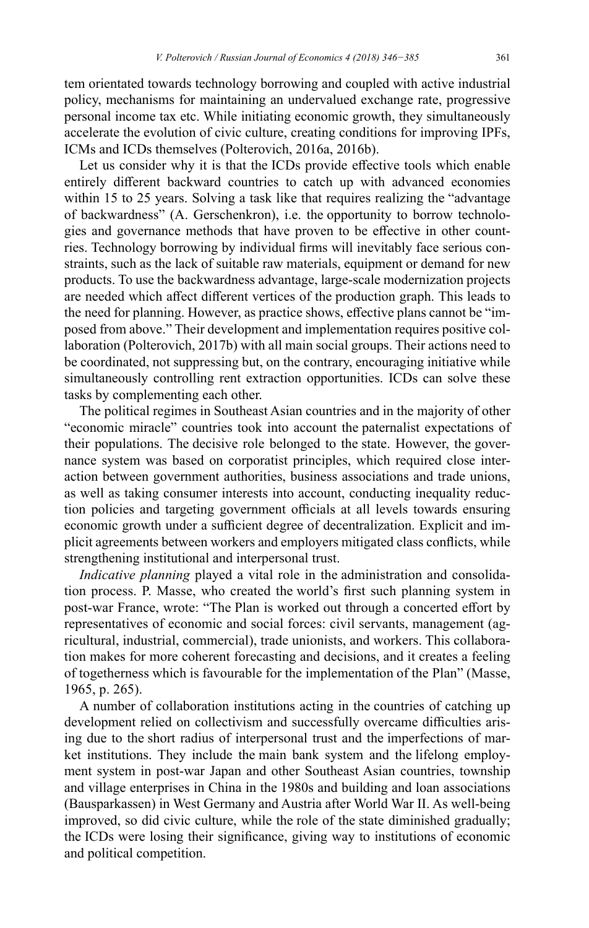tem orientated towards technology borrowing and coupled with active industrial policy, mechanisms for maintaining an undervalued exchange rate, progressive personal income tax etc. While initiating economic growth, they simultaneously accelerate the evolution of civic culture, creating conditions for improving IPFs, ICMs and ICDs themselves (Polterovich, 2016a, 2016b).

Let us consider why it is that the ICDs provide effective tools which enable entirely different backward countries to catch up with advanced economies within 15 to 25 years. Solving a task like that requires realizing the "advantage of backwardness" (A. Gerschenkron), i.e. the opportunity to borrow technologies and governance methods that have proven to be effective in other countries. Technology borrowing by individual firms will inevitably face serious constraints, such as the lack of suitable raw materials, equipment or demand for new products. To use the backwardness advantage, large-scale modernization projects are needed which affect different vertices of the production graph. This leads to the need for planning. However, as practice shows, effective plans cannot be "imposed from above." Their development and implementation requires positive collaboration (Polterovich, 2017b) with all main social groups. Their actions need to be coordinated, not suppressing but, on the contrary, encouraging initiative while simultaneously controlling rent extraction opportunities. ICDs can solve these tasks by complementing each other.

The political regimes in Southeast Asian countries and in the majority of other "economic miracle" countries took into account the paternalist expectations of their populations. The decisive role belonged to the state. However, the governance system was based on corporatist principles, which required close interaction between government authorities, business associations and trade unions, as well as taking consumer interests into account, conducting inequality reduction policies and targeting government officials at all levels towards ensuring economic growth under a sufficient degree of decentralization. Explicit and implicit agreements between workers and employers mitigated class conflicts, while strengthening institutional and interpersonal trust.

*Indicative planning* played a vital role in the administration and consolidation process. P. Masse, who created the world's first such planning system in post-war France, wrote: "The Plan is worked out through a concerted effort by representatives of economic and social forces: civil servants, management (agricultural, industrial, commercial), trade unionists, and workers. This collaboration makes for more coherent forecasting and decisions, and it creates a feeling of togetherness which is favourable for the implementation of the Plan" (Masse, 1965, p. 265).

A number of collaboration institutions acting in the countries of catching up development relied on collectivism and successfully overcame difficulties arising due to the short radius of interpersonal trust and the imperfections of market institutions. They include the main bank system and the lifelong employment system in post-war Japan and other Southeast Asian countries, township and village enterprises in China in the 1980s and building and loan associations (Bausparkassen) in West Germany and Austria after World War II. As well-being improved, so did civic culture, while the role of the state diminished gradually; the ICDs were losing their significance, giving way to institutions of economic and political competition.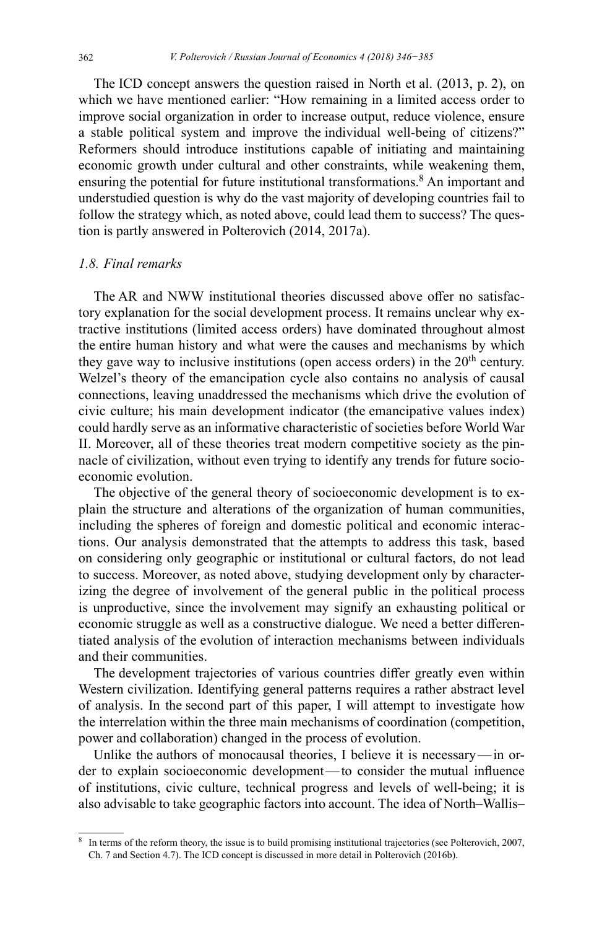The ICD concept answers the question raised in North et al. (2013, p. 2), on which we have mentioned earlier: "How remaining in a limited access order to improve social organization in order to increase output, reduce violence, ensure a stable political system and improve the individual well-being of citizens?" Reformers should introduce institutions capable of initiating and maintaining economic growth under cultural and other constraints, while weakening them, ensuring the potential for future institutional transformations.<sup>8</sup> An important and understudied question is why do the vast majority of developing countries fail to follow the strategy which, as noted above, could lead them to success? The question is partly answered in Polterovich (2014, 2017a).

# *1.8. Final remarks*

The AR and NWW institutional theories discussed above offer no satisfactory explanation for the social development process. It remains unclear why extractive institutions (limited access orders) have dominated throughout almost the entire human history and what were the causes and mechanisms by which they gave way to inclusive institutions (open access orders) in the  $20<sup>th</sup>$  century. Welzel's theory of the emancipation cycle also contains no analysis of causal connections, leaving unaddressed the mechanisms which drive the evolution of civic culture; his main development indicator (the emancipative values index) could hardly serve as an informative characteristic of societies before World War II. Moreover, all of these theories treat modern competitive society as the pinnacle of civilization, without even trying to identify any trends for future socioeconomic evolution.

The objective of the general theory of socioeconomic development is to explain the structure and alterations of the organization of human communities, including the spheres of foreign and domestic political and economic interactions. Our analysis demonstrated that the attempts to address this task, based on considering only geographic or institutional or cultural factors, do not lead to success. Moreover, as noted above, studying development only by characterizing the degree of involvement of the general public in the political process is unproductive, since the involvement may signify an exhausting political or economic struggle as well as a constructive dialogue. We need a better differentiated analysis of the evolution of interaction mechanisms between individuals and their communities.

The development trajectories of various countries differ greatly even within Western civilization. Identifying general patterns requires a rather abstract level of analysis. In the second part of this paper, I will attempt to investigate how the interrelation within the three main mechanisms of coordination (competition, power and collaboration) changed in the process of evolution.

Unlike the authors of monocausal theories, I believe it is necessary—in order to explain socioeconomic development—to consider the mutual influence of institutions, civic culture, technical progress and levels of well-being; it is also advisable to take geographic factors into account. The idea of North–Wallis–

<sup>8</sup> In terms of the reform theory, the issue is to build promising institutional trajectories (see Polterovich, 2007, Ch. 7 and Section 4.7). The ICD concept is discussed in more detail in Polterovich (2016b).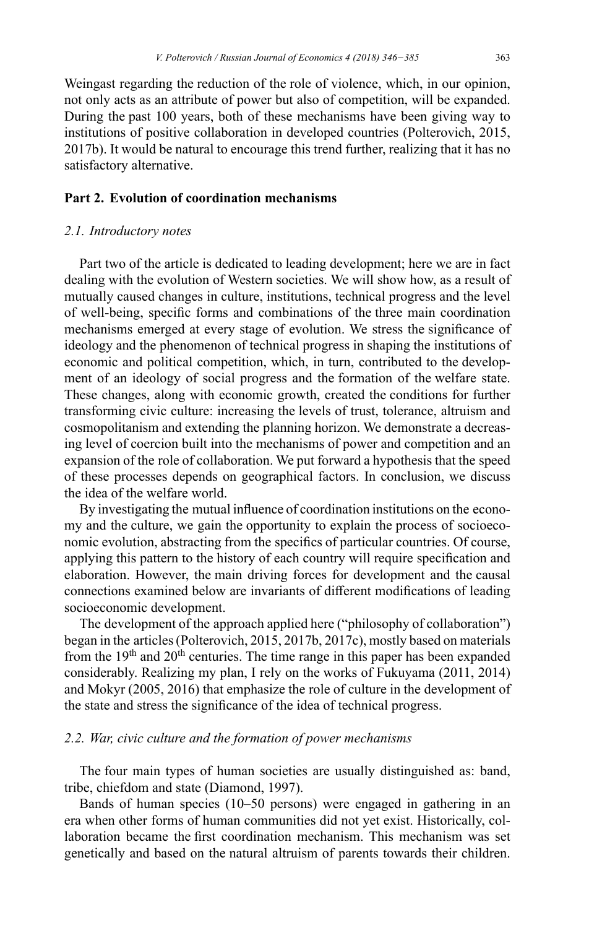Weingast regarding the reduction of the role of violence, which, in our opinion, not only acts as an attribute of power but also of competition, will be expanded. During the past 100 years, both of these mechanisms have been giving way to institutions of positive collaboration in developed countries (Polterovich, 2015, 2017b). It would be natural to encourage this trend further, realizing that it has no satisfactory alternative.

# **Part 2. Evolution of coordination mechanisms**

#### *2.1. Introductory notes*

Part two of the article is dedicated to leading development; here we are in fact dealing with the evolution of Western societies. We will show how, as a result of mutually caused changes in culture, institutions, technical progress and the level of well-being, specific forms and combinations of the three main coordination mechanisms emerged at every stage of evolution. We stress the significance of ideology and the phenomenon of technical progress in shaping the institutions of economic and political competition, which, in turn, contributed to the development of an ideology of social progress and the formation of the welfare state. These changes, along with economic growth, created the conditions for further transforming civic culture: increasing the levels of trust, tolerance, altruism and cosmopolitanism and extending the planning horizon. We demonstrate a decreasing level of coercion built into the mechanisms of power and competition and an expansion of the role of collaboration. We put forward a hypothesis that the speed of these processes depends on geographical factors. In conclusion, we discuss the idea of the welfare world.

By investigating the mutual influence of coordination institutions on the economy and the culture, we gain the opportunity to explain the process of socioeconomic evolution, abstracting from the specifics of particular countries. Of course, applying this pattern to the history of each country will require specification and elaboration. However, the main driving forces for development and the causal connections examined below are invariants of different modifications of leading socioeconomic development.

The development of the approach applied here ("philosophy of collaboration") began in the articles (Polterovich, 2015, 2017b, 2017c), mostly based on materials from the  $19<sup>th</sup>$  and  $20<sup>th</sup>$  centuries. The time range in this paper has been expanded considerably. Realizing my plan, I rely on the works of Fukuyama (2011, 2014) and Mokyr (2005, 2016) that emphasize the role of culture in the development of the state and stress the significance of the idea of technical progress.

#### *2.2. War, civic culture and the formation of power mechanisms*

The four main types of human societies are usually distinguished as: band, tribe, сhiefdom and state (Diamond, 1997).

Bands of human species (10–50 persons) were engaged in gathering in an era when other forms of human communities did not yet exist. Historically, collaboration became the first coordination mechanism. This mechanism was set genetically and based on the natural altruism of parents towards their children.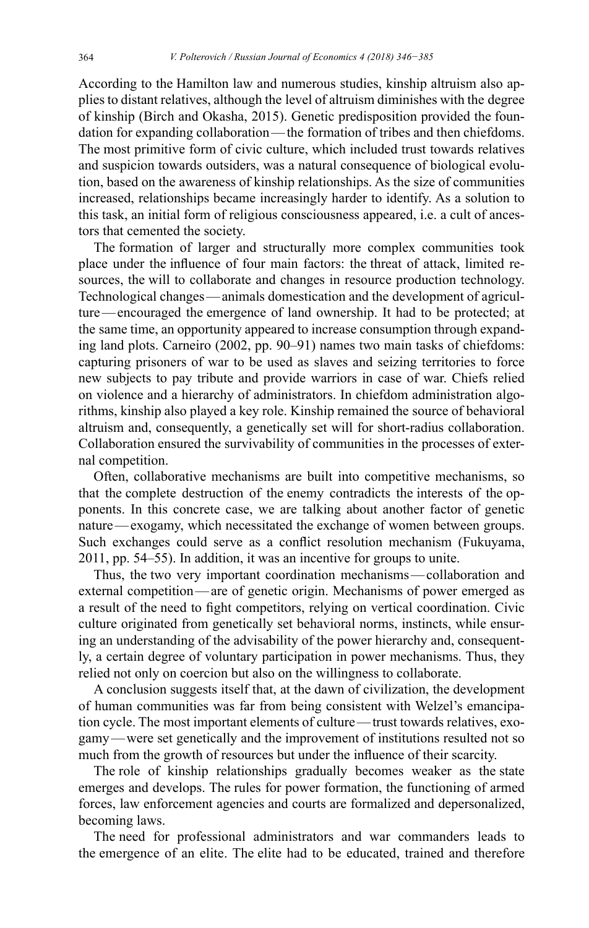According to the Hamilton law and numerous studies, kinship altruism also applies to distant relatives, although the level of altruism diminishes with the degree of kinship (Birch and Okasha, 2015). Genetic predisposition provided the foundation for expanding collaboration—the formation of tribes and then chiefdoms. The most primitive form of civic culture, which included trust towards relatives and suspicion towards outsiders, was a natural consequence of biological evolution, based on the awareness of kinship relationships. As the size of communities increased, relationships became increasingly harder to identify. As a solution to this task, an initial form of religious consciousness appeared, i.e. a cult of ancestors that cemented the society.

The formation of larger and structurally more complex communities took place under the influence of four main factors: the threat of attack, limited resources, the will to collaborate and changes in resource production technology. Technological changes—animals domestication and the development of agriculture—encouraged the emergence of land ownership. It had to be protected; at the same time, an opportunity appeared to increase consumption through expanding land plots. Carneiro (2002, pp. 90–91) names two main tasks of сhiefdoms: capturing prisoners of war to be used as slaves and seizing territories to force new subjects to pay tribute and provide warriors in case of war. Chiefs relied on violence and a hierarchy of administrators. In сhiefdom administration algorithms, kinship also played a key role. Kinship remained the source of behavioral altruism and, consequently, a genetically set will for short-radius collaboration. Collaboration ensured the survivability of communities in the processes of external competition.

Often, collaborative mechanisms are built into competitive mechanisms, so that the complete destruction of the enemy contradicts the interests of the opponents. In this concrete case, we are talking about another factor of genetic nature—exogamy, which necessitated the exchange of women between groups. Such exchanges could serve as a conflict resolution mechanism (Fukuyama, 2011, pp. 54–55). In addition, it was an incentive for groups to unite.

Thus, the two very important coordination mechanisms—collaboration and external competition—are of genetic origin. Mechanisms of power emerged as a result of the need to fight competitors, relying on vertical coordination. Civic culture originated from genetically set behavioral norms, instincts, while ensuring an understanding of the advisability of the power hierarchy and, consequently, a certain degree of voluntary participation in power mechanisms. Thus, they relied not only on coercion but also on the willingness to collaborate.

A conclusion suggests itself that, at the dawn of civilization, the development of human communities was far from being consistent with Welzel's emancipation cycle. The most important elements of culture—trust towards relatives, exogamy—were set genetically and the improvement of institutions resulted not so much from the growth of resources but under the influence of their scarcity.

The role of kinship relationships gradually becomes weaker as the state emerges and develops. The rules for power formation, the functioning of armed forces, law enforcement agencies and courts are formalized and depersonalized, becoming laws.

The need for professional administrators and war commanders leads to the emergence of an elite. The elite had to be educated, trained and therefore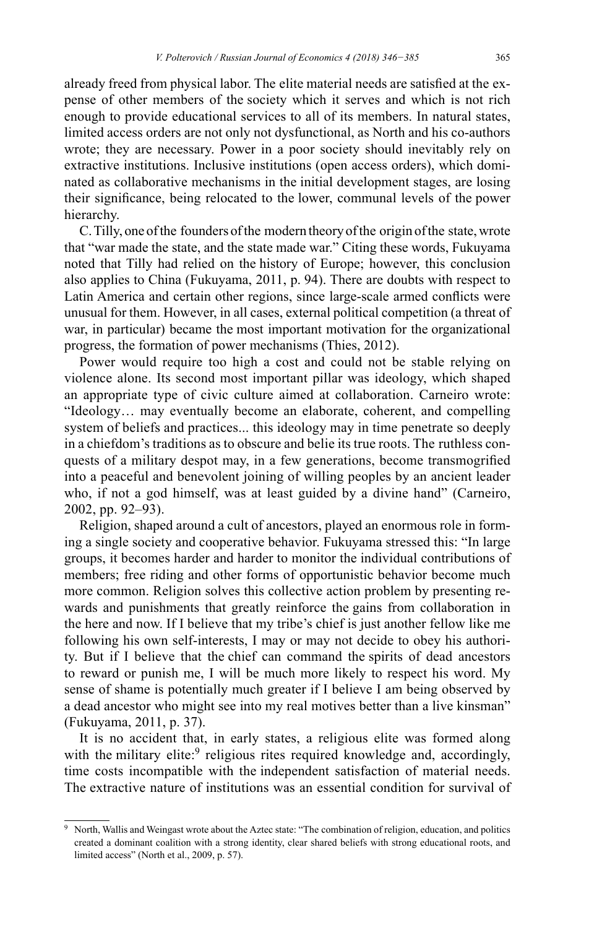already freed from physical labor. The elite material needs are satisfied at the expense of other members of the society which it serves and which is not rich enough to provide educational services to all of its members. In natural states, limited access orders are not only not dysfunctional, as North and his co-authors wrote; they are necessary. Power in a poor society should inevitably rely on extractive institutions. Inclusive institutions (open access orders), which dominated as collaborative mechanisms in the initial development stages, are losing their significance, being relocated to the lower, communal levels of the power hierarchy.

C.Tilly, one of the founders of the modern theory of the origin of the state, wrote that "war made the state, and the state made war." Citing these words, Fukuyama noted that Tilly had relied on the history of Europe; however, this conclusion also applies to China (Fukuyama, 2011, p. 94). There are doubts with respect to Latin America and certain other regions, since large-scale armed conflicts were unusual for them. However, in all cases, external political competition (a threat of war, in particular) became the most important motivation for the organizational progress, the formation of power mechanisms (Thies, 2012).

Power would require too high a cost and could not be stable relying on violence alone. Its second most important pillar was ideology, which shaped an appropriate type of civic culture aimed at collaboration. Carneiro wrote: "Ideology… may eventually become an elaborate, coherent, and compelling system of beliefs and practices... this ideology may in time penetrate so deeply in a chiefdom's traditions as to obscure and belie its true roots. The ruthless conquests of a military despot may, in a few generations, become transmogrified into a peaceful and benevolent joining of willing peoples by an ancient leader who, if not a god himself, was at least guided by a divine hand" (Carneiro, 2002, pp. 92–93).

Religion, shaped around a cult of ancestors, played an enormous role in forming a single society and cooperative behavior. Fukuyama stressed this: "In large groups, it becomes harder and harder to monitor the individual contributions of members; free riding and other forms of opportunistic behavior become much more common. Religion solves this collective action problem by presenting rewards and punishments that greatly reinforce the gains from collaboration in the here and now. If I believe that my tribe's chief is just another fellow like me following his own self-interests, I may or may not decide to obey his authority. But if I believe that the chief can command the spirits of dead ancestors to reward or punish me, I will be much more likely to respect his word. My sense of shame is potentially much greater if I believe I am being observed by a dead ancestor who might see into my real motives better than a live kinsman" (Fukuyama, 2011, p. 37).

It is no accident that, in early states, a religious elite was formed along with the military elite:<sup>9</sup> religious rites required knowledge and, accordingly, time costs incompatible with the independent satisfaction of material needs. The extractive nature of institutions was an essential condition for survival of

<sup>9</sup> North, Wallis and Weingast wrote about the Aztec state: "The combination of religion, education, and politics created a dominant coalition with a strong identity, clear shared beliefs with strong educational roots, and limited access" (North et al., 2009, p. 57).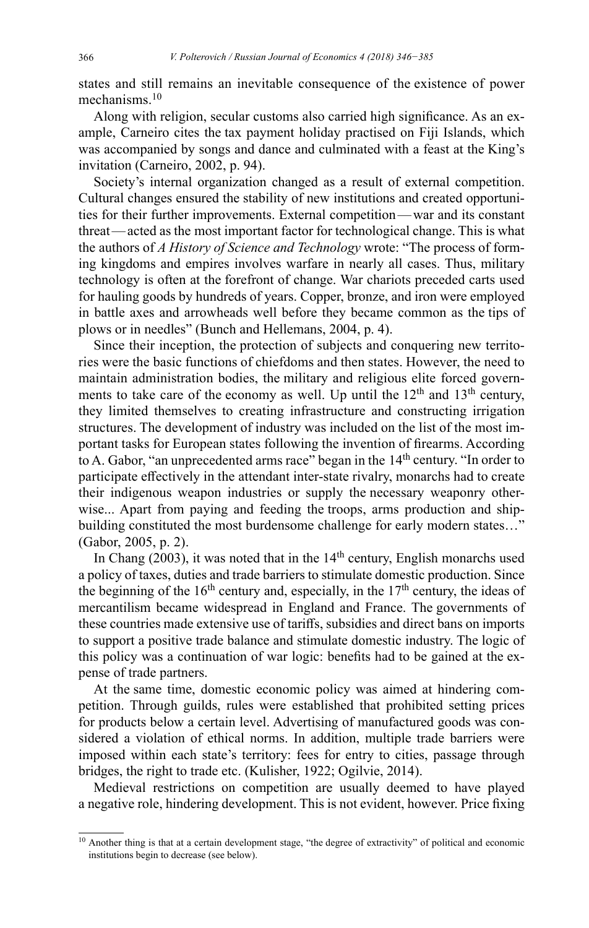states and still remains an inevitable consequence of the existence of power mechanisms.<sup>10</sup>

Along with religion, secular customs also carried high significance. As an example, Carneiro cites the tax payment holiday practised on Fiji Islands, which was accompanied by songs and dance and culminated with a feast at the King's invitation (Carneiro, 2002, p. 94).

Society's internal organization changed as a result of external competition. Cultural changes ensured the stability of new institutions and created opportunities for their further improvements. External competition—war and its constant threat—acted as the most important factor for technological change. This is what the authors of *A History of Science and Technology* wrote: "The process of forming kingdoms and empires involves warfare in nearly all cases. Thus, military technology is often at the forefront of change. War chariots preceded carts used for hauling goods by hundreds of years. Copper, bronze, and iron were employed in battle axes and arrowheads well before they became common as the tips of plows or in needles" (Bunch and Hellemans, 2004, p. 4).

Since their inception, the protection of subjects and conquering new territories were the basic functions of chiefdoms and then states. However, the need to maintain administration bodies, the military and religious elite forced governments to take care of the economy as well. Up until the  $12<sup>th</sup>$  and  $13<sup>th</sup>$  century, they limited themselves to creating infrastructure and constructing irrigation structures. The development of industry was included on the list of the most important tasks for European states following the invention of firearms. According to A. Gabor, "an unprecedented arms race" began in the  $14<sup>th</sup>$  century. "In order to participate effectively in the attendant inter-state rivalry, monarchs had to create their indigenous weapon industries or supply the necessary weaponry otherwise... Apart from paying and feeding the troops, arms production and shipbuilding constituted the most burdensome challenge for early modern states..." (Gabor, 2005, p. 2).

In Chang  $(2003)$ , it was noted that in the  $14<sup>th</sup>$  century, English monarchs used a policy of taxes, duties and trade barriers to stimulate domestic production. Since the beginning of the  $16<sup>th</sup>$  century and, especially, in the  $17<sup>th</sup>$  century, the ideas of mercantilism became widespread in England and France. The governments of these countries made extensive use of tariffs, subsidies and direct bans on imports to support a positive trade balance and stimulate domestic industry. The logic of this policy was a continuation of war logic: benefits had to be gained at the expense of trade partners.

At the same time, domestic economic policy was aimed at hindering competition. Through guilds, rules were established that prohibited setting prices for products below a certain level. Advertising of manufactured goods was considered a violation of ethical norms. In addition, multiple trade barriers were imposed within each state's territory: fees for entry to cities, passage through bridges, the right to trade etc. (Kulisher, 1922; Ogilvie, 2014).

Medieval restrictions on competition are usually deemed to have played a negative role, hindering development. This is not evident, however. Price fixing

<sup>&</sup>lt;sup>10</sup> Another thing is that at a certain development stage, "the degree of extractivity" of political and economic institutions begin to decrease (see below).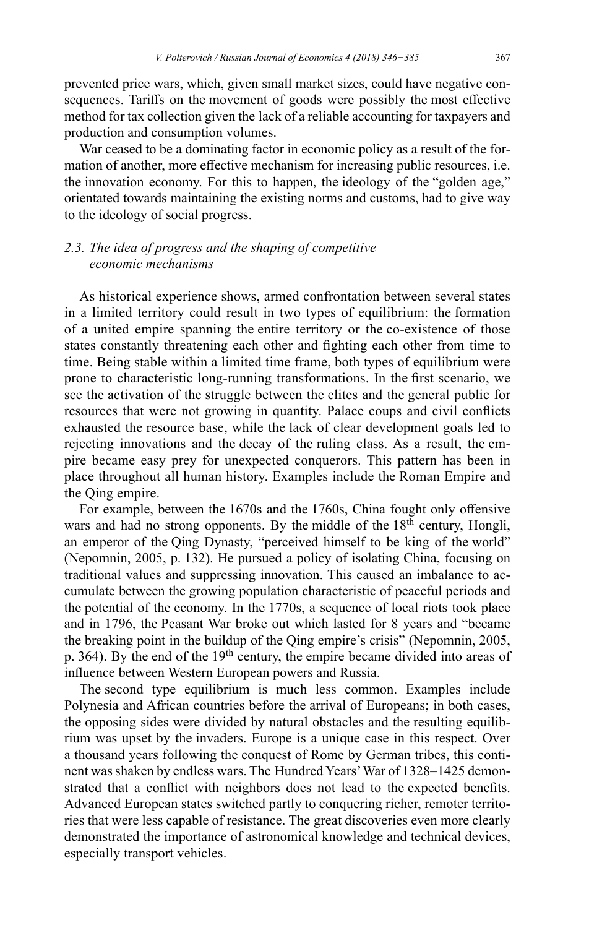prevented price wars, which, given small market sizes, could have negative consequences. Tariffs on the movement of goods were possibly the most effective method for tax collection given the lack of a reliable accounting for taxpayers and production and consumption volumes.

War ceased to be a dominating factor in economic policy as a result of the formation of another, more effective mechanism for increasing public resources, i.e. the innovation economy. For this to happen, the ideology of the "golden age," orientated towards maintaining the existing norms and customs, had to give way to the ideology of social progress.

# *2.3. The idea of progress and the shaping of competitive economic mechanisms*

As historical experience shows, armed confrontation between several states in a limited territory could result in two types of equilibrium: the formation of a united empire spanning the entire territory or the co-existence of those states constantly threatening each other and fighting each other from time to time. Being stable within a limited time frame, both types of equilibrium were prone to characteristic long-running transformations. In the first scenario, we see the activation of the struggle between the elites and the general public for resources that were not growing in quantity. Palace coups and civil conflicts exhausted the resource base, while the lack of clear development goals led to rejecting innovations and the decay of the ruling class. As a result, the empire became easy prey for unexpected conquerors. This pattern has been in place throughout all human history. Examples include the Roman Empire and the Qing empire.

For example, between the 1670s and the 1760s, China fought only offensive wars and had no strong opponents. By the middle of the 18<sup>th</sup> century, Hongli, an emperor of the Qing Dynasty, "perceived himself to be king of the world" (Nepomnin, 2005, p. 132). He pursued a policy of isolating China, focusing on traditional values and suppressing innovation. This caused an imbalance to accumulate between the growing population characteristic of peaceful periods and the potential of the economy. In the 1770s, a sequence of local riots took place and in 1796, the Peasant War broke out which lasted for 8 years and "became the breaking point in the buildup of the Qing empire's crisis" (Nepomnin, 2005, p. 364). By the end of the 19<sup>th</sup> century, the empire became divided into areas of influence between Western European powers and Russia.

The second type equilibrium is much less common. Examples include Polynesia and African countries before the arrival of Europeans; in both cases, the opposing sides were divided by natural obstacles and the resulting equilibrium was upset by the invaders. Europe is a unique case in this respect. Over a thousand years following the conquest of Rome by German tribes, this continent was shaken by endless wars. The Hundred Years' War of 1328–1425 demonstrated that a conflict with neighbors does not lead to the expected benefits. Advanced European states switched partly to conquering richer, remoter territories that were less capable of resistance. The great discoveries even more clearly demonstrated the importance of astronomical knowledge and technical devices, especially transport vehicles.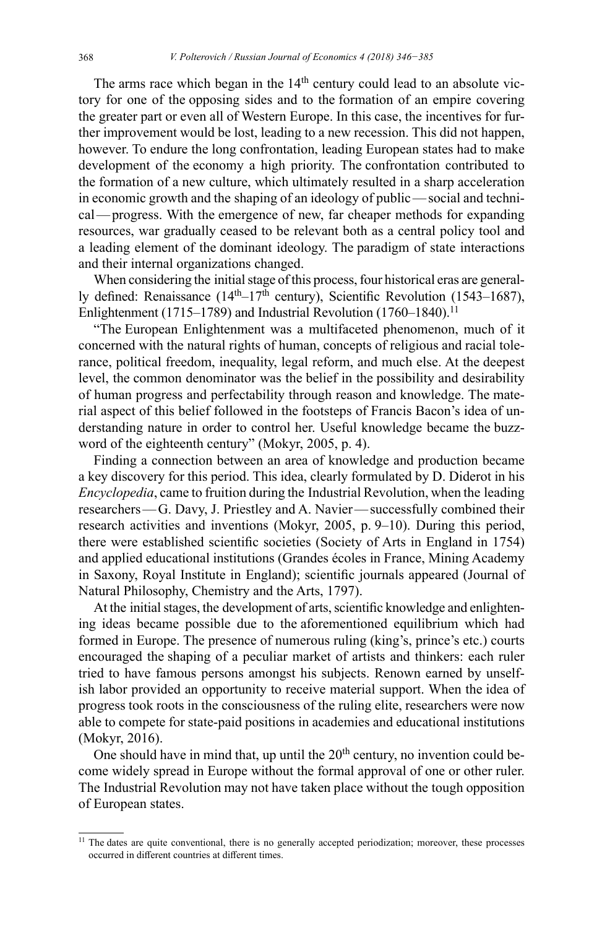The arms race which began in the  $14<sup>th</sup>$  century could lead to an absolute victory for one of the opposing sides and to the formation of an empire covering the greater part or even all of Western Europe. In this case, the incentives for further improvement would be lost, leading to a new recession. This did not happen, however. To endure the long confrontation, leading European states had to make development of the economy a high priority. The confrontation contributed to the formation of a new culture, which ultimately resulted in a sharp acceleration in economic growth and the shaping of an ideology of public—social and technical—progress. With the emergence of new, far cheaper methods for expanding resources, war gradually ceased to be relevant both as a central policy tool and a leading element of the dominant ideology. The paradigm of state interactions and their internal organizations changed.

When considering the initial stage of this process, four historical eras are generally defined: Renaissance  $(14<sup>th</sup>-17<sup>th</sup>$  century), Scientific Revolution (1543–1687), Enlightenment (1715–1789) and Industrial Revolution (1760–1840).<sup>11</sup>

"The European Enlightenment was a multifaceted phenomenon, much of it concerned with the natural rights of human, concepts of religious and racial tolerance, political freedom, inequality, legal reform, and much else. At the deepest level, the common denominator was the belief in the possibility and desirability of human progress and perfectability through reason and knowledge. The material aspect of this belief followed in the footsteps of Francis Bacon's idea of understanding nature in order to control her. Useful knowledge became the buzzword of the eighteenth century" (Mokyr, 2005, p. 4).

Finding a connection between an area of knowledge and production became a key discovery for this period. This idea, clearly formulated by D. Diderot in his *Encyclopedia*, came to fruition during the Industrial Revolution, when the leading researchers—G. Davy, J. Priestley and A. Navier—successfully combined their research activities and inventions (Mokyr, 2005, p. 9–10). During this period, there were established scientific societies (Society of Arts in England in 1754) and applied educational institutions (Grandes écoles in France, Mining Academy in Saxony, Royal Institute in England); scientific journals appeared (Journal of Natural Philosophy, Chemistry and the Arts, 1797).

At the initial stages, the development of arts, scientific knowledge and enlightening ideas became possible due to the aforementioned equilibrium which had formed in Europe. The presence of numerous ruling (king's, prince's etc.) courts encouraged the shaping of a peculiar market of artists and thinkers: each ruler tried to have famous persons amongst his subjects. Renown earned by unselfish labor provided an opportunity to receive material support. When the idea of progress took roots in the consciousness of the ruling elite, researchers were now able to compete for state-paid positions in academies and educational institutions (Mokyr, 2016).

One should have in mind that, up until the  $20<sup>th</sup>$  century, no invention could become widely spread in Europe without the formal approval of one or other ruler. The Industrial Revolution may not have taken place without the tough opposition of European states.

<sup>&</sup>lt;sup>11</sup> The dates are quite conventional, there is no generally accepted periodization; moreover, these processes occurred in different countries at different times.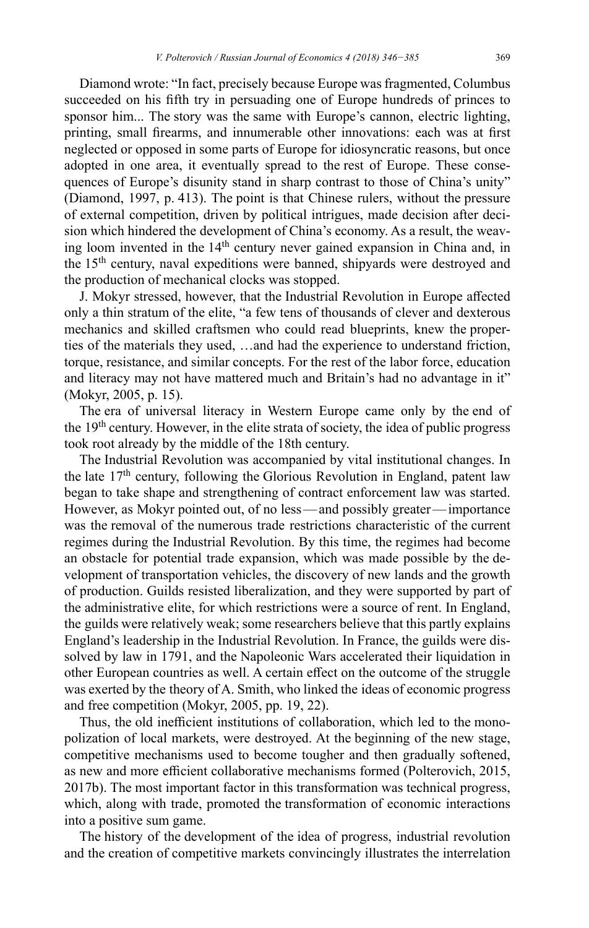Diamond wrote: "In fact, precisely because Europe was fragmented, Columbus succeeded on his fifth try in persuading one of Europe hundreds of princes to sponsor him... The story was the same with Europe's cannon, electric lighting, printing, small firearms, and innumerable other innovations: each was at first neglected or opposed in some parts of Europe for idiosyncratic reasons, but once adopted in one area, it eventually spread to the rest of Europe. These consequences of Europe's disunity stand in sharp contrast to those of China's unity" (Diamond, 1997, p. 413). The point is that Chinese rulers, without the pressure of external competition, driven by political intrigues, made decision after decision which hindered the development of China's economy. As a result, the weaving loom invented in the 14<sup>th</sup> century never gained expansion in China and, in the 15th century, naval expeditions were banned, shipyards were destroyed and the production of mechanical clocks was stopped.

J. Mokyr stressed, however, that the Industrial Revolution in Europe affected only a thin stratum of the elite, "a few tens of thousands of clever and dexterous mechanics and skilled craftsmen who could read blueprints, knew the properties of the materials they used, …and had the experience to understand friction, torque, resistance, and similar concepts. For the rest of the labor force, education and literacy may not have mattered much and Britain's had no advantage in it" (Mokyr, 2005, p. 15).

The era of universal literacy in Western Europe came only by the end of the 19<sup>th</sup> century. However, in the elite strata of society, the idea of public progress took root already by the middle of the 18th century.

The Industrial Revolution was accompanied by vital institutional changes. In the late  $17<sup>th</sup>$  century, following the Glorious Revolution in England, patent law began to take shape and strengthening of contract enforcement law was started. However, as Mokyr pointed out, of no less—and possibly greater—importance was the removal of the numerous trade restrictions characteristic of the current regimes during the Industrial Revolution. By this time, the regimes had become an obstacle for potential trade expansion, which was made possible by the development of transportation vehicles, the discovery of new lands and the growth of production. Guilds resisted liberalization, and they were supported by part of the administrative elite, for which restrictions were a source of rent. In England, the guilds were relatively weak; some researchers believe that this partly explains England's leadership in the Industrial Revolution. In France, the guilds were dissolved by law in 1791, and the Napoleonic Wars accelerated their liquidation in other European countries as well. A certain effect on the outcome of the struggle was exerted by the theory of A. Smith, who linked the ideas of economic progress and free competition (Mokyr, 2005, pp. 19, 22).

Thus, the old inefficient institutions of collaboration, which led to the monopolization of local markets, were destroyed. At the beginning of the new stage, competitive mechanisms used to become tougher and then gradually softened, as new and more efficient collaborative mechanisms formed (Polterovich, 2015, 2017b). The most important factor in this transformation was technical progress, which, along with trade, promoted the transformation of economic interactions into a positive sum game.

The history of the development of the idea of progress, industrial revolution and the creation of competitive markets convincingly illustrates the interrelation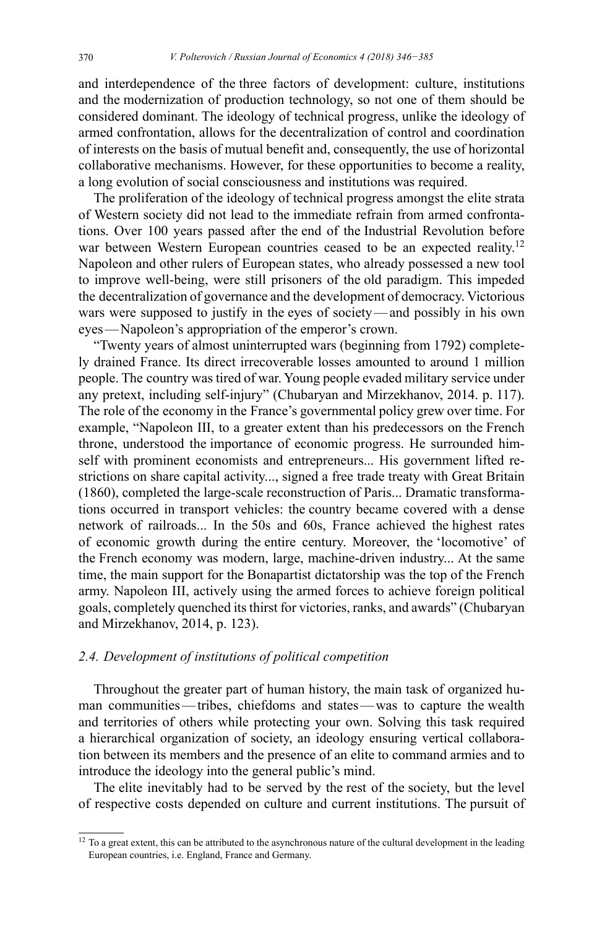and interdependence of the three factors of development: culture, institutions and the modernization of production technology, so not one of them should be considered dominant. The ideology of technical progress, unlike the ideology of armed confrontation, allows for the decentralization of control and coordination of interests on the basis of mutual benefit and, consequently, the use of horizontal collaborative mechanisms. However, for these opportunities to become a reality, a long evolution of social consciousness and institutions was required.

The proliferation of the ideology of technical progress amongst the elite strata of Western society did not lead to the immediate refrain from armed confrontations. Over 100 years passed after the end of the Industrial Revolution before war between Western European countries ceased to be an expected reality.<sup>12</sup> Napoleon and other rulers of European states, who already possessed a new tool to improve well-being, were still prisoners of the old paradigm. This impeded the decentralization of governance and the development of democracy. Victorious wars were supposed to justify in the eyes of society—and possibly in his own eyes—Napoleon's appropriation of the emperor's crown.

"Twenty years of almost uninterrupted wars (beginning from 1792) completely drained France. Its direct irrecoverable losses amounted to around 1 million people. The country was tired of war. Young people evaded military service under any pretext, including self-injury" (Chubaryan and Mirzekhanov, 2014. p. 117). The role of the economy in the France's governmental policy grew over time. For example, "Napoleon III, to a greater extent than his predecessors on the French throne, understood the importance of economic progress. He surrounded himself with prominent economists and entrepreneurs... His government lifted restrictions on share capital activity..., signed a free trade treaty with Great Britain (1860), completed the large-scale reconstruction of Paris... Dramatic transformations occurred in transport vehicles: the country became covered with a dense network of railroads... In the 50s and 60s, France achieved the highest rates of economic growth during the entire century. Moreover, the 'locomotive' of the French economy was modern, large, machine-driven industry... At the same time, the main support for the Bonapartist dictatorship was the top of the French army. Napoleon III, actively using the armed forces to achieve foreign political goals, completely quenched its thirst for victories, ranks, and awards" (Chubaryan and Mirzekhanov, 2014, p. 123).

# *2.4. Development of institutions of political competition*

Throughout the greater part of human history, the main task of organized human communities—tribes, сhiefdoms and states—was to capture the wealth and territories of others while protecting your own. Solving this task required a hierarchical organization of society, an ideology ensuring vertical collaboration between its members and the presence of an elite to command armies and to introduce the ideology into the general public's mind.

The elite inevitably had to be served by the rest of the society, but the level of respective costs depended on culture and current institutions. The pursuit of

<sup>&</sup>lt;sup>12</sup> To a great extent, this can be attributed to the asynchronous nature of the cultural development in the leading European countries, i.e. England, France and Germany.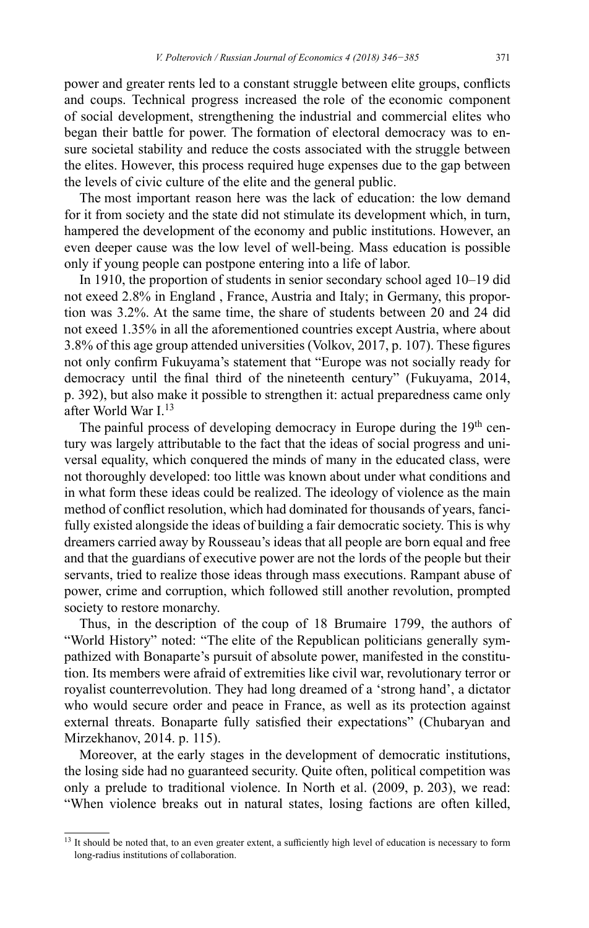power and greater rents led to a constant struggle between elite groups, conflicts and coups. Technical progress increased the role of the economic component of social development, strengthening the industrial and commercial elites who began their battle for power. The formation of electoral democracy was to ensure societal stability and reduce the costs associated with the struggle between the elites. However, this process required huge expenses due to the gap between the levels of civic culture of the elite and the general public.

The most important reason here was the lack of education: the low demand for it from society and the state did not stimulate its development which, in turn, hampered the development of the economy and public institutions. However, an even deeper cause was the low level of well-being. Mass education is possible only if young people can postpone entering into a life of labor.

In 1910, the proportion of students in senior secondary school aged 10–19 did not exeed 2.8% in England , France, Austria and Italy; in Germany, this proportion was 3.2%. At the same time, the share of students between 20 and 24 did not exeed 1.35% in all the aforementioned countries except Austria, where about 3.8% of this age group attended universities (Volkov, 2017, p. 107). These figures not only confirm Fukuyama's statement that "Europe was not socially ready for democracy until the final third of the nineteenth century" (Fukuyama, 2014, p. 392), but also make it possible to strengthen it: actual preparedness came only after World War I.13

The painful process of developing democracy in Europe during the  $19<sup>th</sup>$  century was largely attributable to the fact that the ideas of social progress and universal equality, which conquered the minds of many in the educated class, were not thoroughly developed: too little was known about under what conditions and in what form these ideas could be realized. The ideology of violence as the main method of conflict resolution, which had dominated for thousands of years, fancifully existed alongside the ideas of building a fair democratic society. This is why dreamers carried away by Rousseau's ideas that all people are born equal and free and that the guardians of executive power are not the lords of the people but their servants, tried to realize those ideas through mass executions. Rampant abuse of power, crime and corruption, which followed still another revolution, prompted society to restore monarchy.

Thus, in the description of the coup of 18 Brumaire 1799, the authors of "World History" noted: "The elite of the Republican politicians generally sympathized with Bonaparte's pursuit of absolute power, manifested in the constitution. Its members were afraid of extremities like civil war, revolutionary terror or royalist counterrevolution. They had long dreamed of a 'strong hand', a dictator who would secure order and peace in France, as well as its protection against external threats. Bonaparte fully satisfied their expectations" (Chubaryan and Mirzekhanov, 2014. p. 115).

Moreover, at the early stages in the development of democratic institutions, the losing side had no guaranteed security. Quite often, political competition was only a prelude to traditional violence. In North et al. (2009, p. 203), we read: "When violence breaks out in natural states, losing factions are often killed,

<sup>&</sup>lt;sup>13</sup> It should be noted that, to an even greater extent, a sufficiently high level of education is necessary to form long-radius institutions of collaboration.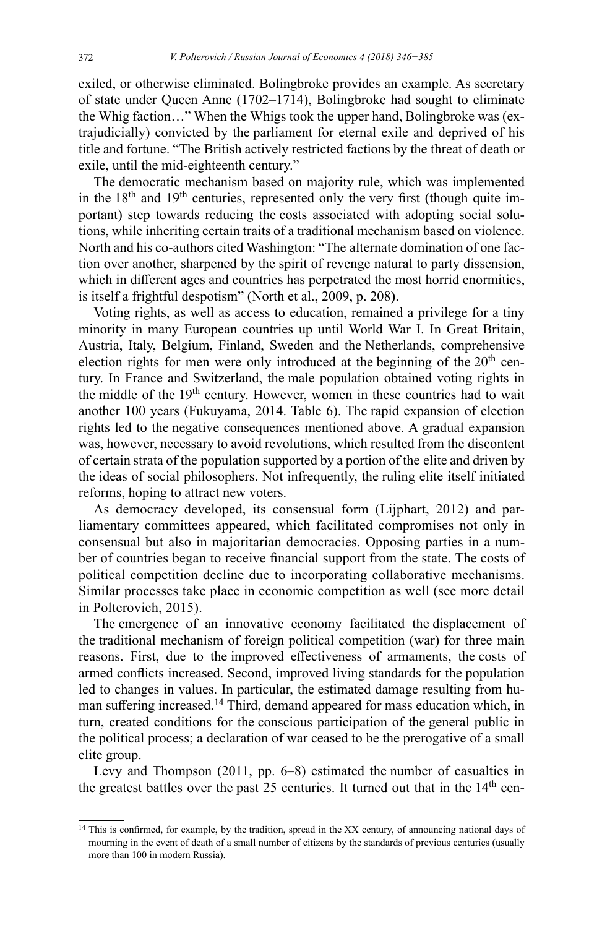exiled, or otherwise eliminated. Bolingbroke provides an example. As secretary of state under Queen Anne (1702–1714), Bolingbroke had sought to eliminate the Whig faction…" When the Whigs took the upper hand, Bolingbroke was (extrajudicially) convicted by the parliament for eternal exile and deprived of his title and fortune. "The British actively restricted factions by the threat of death or exile, until the mid-eighteenth century."

The democratic mechanism based on majority rule, which was implemented in the  $18<sup>th</sup>$  and  $19<sup>th</sup>$  centuries, represented only the very first (though quite important) step towards reducing the costs associated with adopting social solutions, while inheriting certain traits of a traditional mechanism based on violence. North and his co-authors cited Washington: "The alternate domination of one faction over another, sharpened by the spirit of revenge natural to party dissension, which in different ages and countries has perpetrated the most horrid enormities, is itself a frightful despotism" (North et al., 2009, p. 208**)**.

Voting rights, as well as access to education, remained a privilege for a tiny minority in many European countries up until World War I. In Great Britain, Austria, Italy, Belgium, Finland, Sweden and the Netherlands, comprehensive election rights for men were only introduced at the beginning of the  $20<sup>th</sup>$  century. In France and Switzerland, the male population obtained voting rights in the middle of the  $19<sup>th</sup>$  century. However, women in these countries had to wait another 100 years (Fukuyama, 2014. Table 6). The rapid expansion of election rights led to the negative consequences mentioned above. A gradual expansion was, however, necessary to avoid revolutions, which resulted from the discontent of certain strata of the population supported by a portion of the elite and driven by the ideas of social philosophers. Not infrequently, the ruling elite itself initiated reforms, hoping to attract new voters.

As democracy developed, its consensual form (Lijphart, 2012) and parliamentary committees appeared, which facilitated compromises not only in consensual but also in majoritarian democracies. Opposing parties in a number of countries began to receive financial support from the state. The costs of political competition decline due to incorporating collaborative mechanisms. Similar processes take place in economic competition as well (see more detail in Polterovich, 2015).

The emergence of an innovative economy facilitated the displacement of the traditional mechanism of foreign political competition (war) for three main reasons. First, due to the improved effectiveness of armaments, the costs of armed conflicts increased. Second, improved living standards for the population led to changes in values. In particular, the estimated damage resulting from human suffering increased.<sup>14</sup> Third, demand appeared for mass education which, in turn, created conditions for the conscious participation of the general public in the political process; a declaration of war ceased to be the prerogative of a small elite group.

Levy and Thompson (2011, pp. 6–8) estimated the number of casualties in the greatest battles over the past  $25$  centuries. It turned out that in the  $14<sup>th</sup>$  cen-

<sup>&</sup>lt;sup>14</sup> This is confirmed, for example, by the tradition, spread in the XX century, of announcing national days of mourning in the event of death of a small number of citizens by the standards of previous centuries (usually more than 100 in modern Russia).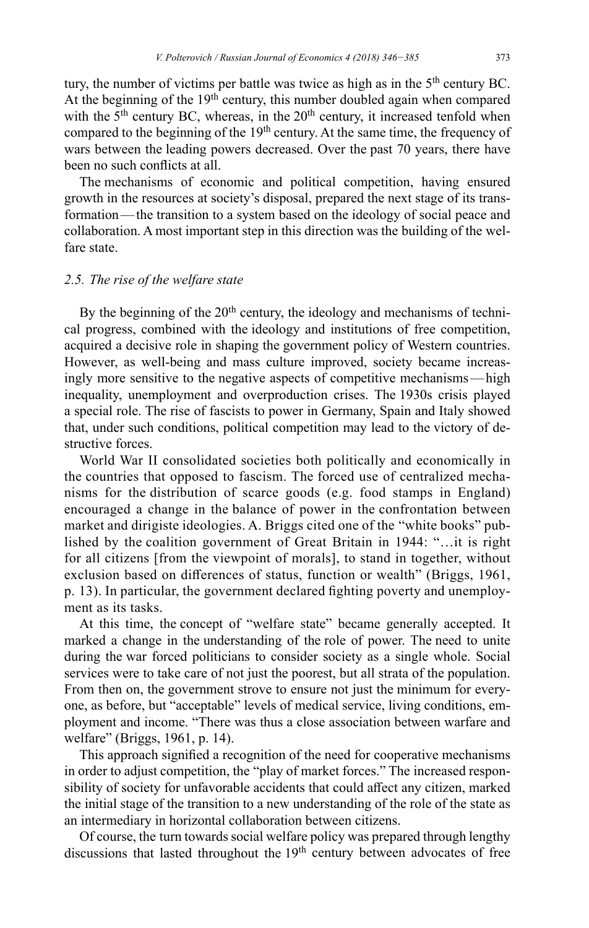tury, the number of victims per battle was twice as high as in the 5<sup>th</sup> century BC. At the beginning of the  $19<sup>th</sup>$  century, this number doubled again when compared with the  $5<sup>th</sup>$  century BC, whereas, in the  $20<sup>th</sup>$  century, it increased tenfold when compared to the beginning of the 19<sup>th</sup> century. At the same time, the frequency of wars between the leading powers decreased. Over the past 70 years, there have been no such conflicts at all.

The mechanisms of economic and political competition, having ensured growth in the resources at society's disposal, prepared the next stage of its transformation—the transition to a system based on the ideology of social peace and collaboration. A most important step in this direction was the building of the welfare state.

## *2.5. The rise of the welfare state*

By the beginning of the 20<sup>th</sup> century, the ideology and mechanisms of technical progress, combined with the ideology and institutions of free competition, acquired a decisive role in shaping the government policy of Western countries. However, as well-being and mass culture improved, society became increasingly more sensitive to the negative aspects of competitive mechanisms—high inequality, unemployment and overproduction crises. The 1930s crisis played a special role. The rise of fascists to power in Germany, Spain and Italy showed that, under such conditions, political competition may lead to the victory of destructive forces.

World War II consolidated societies both politically and economically in the countries that opposed to fascism. The forced use of centralized mechanisms for the distribution of scarce goods (e.g. food stamps in England) encouraged a change in the balance of power in the confrontation between market and dirigiste ideologies. A. Briggs cited one of the "white books" published by the coalition government of Great Britain in 1944: "…it is right for all citizens [from the viewpoint of morals], to stand in together, without exclusion based on differences of status, function or wealth" (Briggs, 1961, p. 13). In particular, the government declared fighting poverty and unemployment as its tasks.

At this time, the concept of "welfare state" became generally accepted. It marked a change in the understanding of the role of power. The need to unite during the war forced politicians to consider society as a single whole. Social services were to take care of not just the poorest, but all strata of the population. From then on, the government strove to ensure not just the minimum for everyone, as before, but "acceptable" levels of medical service, living conditions, employment and income. "There was thus a close association between warfare and welfare" (Briggs, 1961, p. 14).

This approach signified a recognition of the need for cooperative mechanisms in order to adjust competition, the "play of market forces." The increased responsibility of society for unfavorable accidents that could affect any citizen, marked the initial stage of the transition to a new understanding of the role of the state as an intermediary in horizontal collaboration between citizens.

Of course, the turn towards social welfare policy was prepared through lengthy discussions that lasted throughout the  $19<sup>th</sup>$  century between advocates of free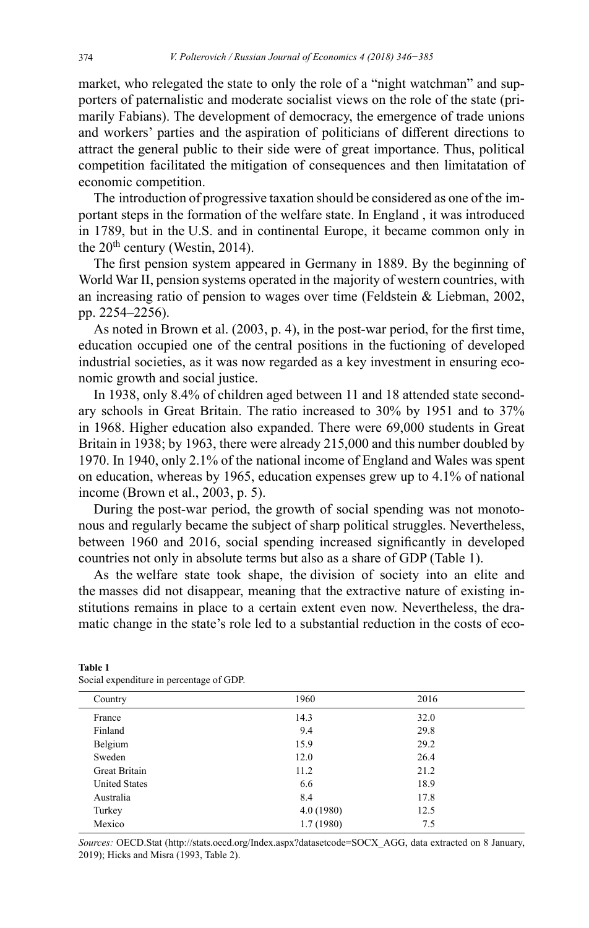market, who relegated the state to only the role of a "night watchman" and supporters of paternalistic and moderate socialist views on the role of the state (primarily Fabians). The development of democracy, the emergence of trade unions and workers' parties and the aspiration of politicians of different directions to attract the general public to their side were of great importance. Thus, political competition facilitated the mitigation of consequences and then limitatation of economic competition.

The introduction of progressive taxation should be considered as one of the important steps in the formation of the welfare state. In England , it was introduced in 1789, but in the U.S. and in continental Europe, it became common only in the  $20<sup>th</sup>$  century (Westin, 2014).

The first pension system appeared in Germany in 1889. By the beginning of World War II, pension systems operated in the majority of western countries, with an increasing ratio of pension to wages over time (Feldstein & Liebman, 2002, pp. 2254–2256).

As noted in Brown et al. (2003, p. 4), in the post-war period, for the first time, education occupied one of the central positions in the fuctioning of developed industrial societies, as it was now regarded as a key investment in ensuring economic growth and social justice.

In 1938, only 8.4% of children aged between 11 and 18 attended state secondary schools in Great Britain. The ratio increased to 30% by 1951 and to 37% in 1968. Higher education also expanded. There were 69,000 students in Great Britain in 1938; by 1963, there were already 215,000 and this number doubled by 1970. In 1940, only 2.1% of the national income of England and Wales was spent on education, whereas by 1965, education expenses grew up to 4.1% of national income (Brown et al., 2003, p. 5).

During the post-war period, the growth of social spending was not monotonous and regularly became the subject of sharp political struggles. Nevertheless, between 1960 and 2016, social spending increased significantly in developed countries not only in absolute terms but also as a share of GDP (Table 1).

As the welfare state took shape, the division of society into an elite and the masses did not disappear, meaning that the extractive nature of existing institutions remains in place to a certain extent even now. Nevertheless, the dramatic change in the state's role led to a substantial reduction in the costs of eco-

| Country              | 1960      | 2016 |  |  |
|----------------------|-----------|------|--|--|
| France               | 14.3      | 32.0 |  |  |
| Finland              | 9.4       | 29.8 |  |  |
| Belgium              | 15.9      | 29.2 |  |  |
| Sweden               | 12.0      | 26.4 |  |  |
| Great Britain        | 11.2      | 21.2 |  |  |
| <b>United States</b> | 6.6       | 18.9 |  |  |
| Australia            | 8.4       | 17.8 |  |  |
| Turkey               | 4.0(1980) | 12.5 |  |  |
| Mexico               | 1.7(1980) | 7.5  |  |  |

**Table 1** Social expenditure in percentage of GDP.

*Sources:* OECD.Stat ([http://stats.oecd.org/Index.aspx?datasetcode=SOCX\\_AGG,](http://stats.oecd.org/Index.aspx?datasetcode=SOCX_AGG) data extracted on 8 January, 2019); Hicks and Misra (1993, Table 2).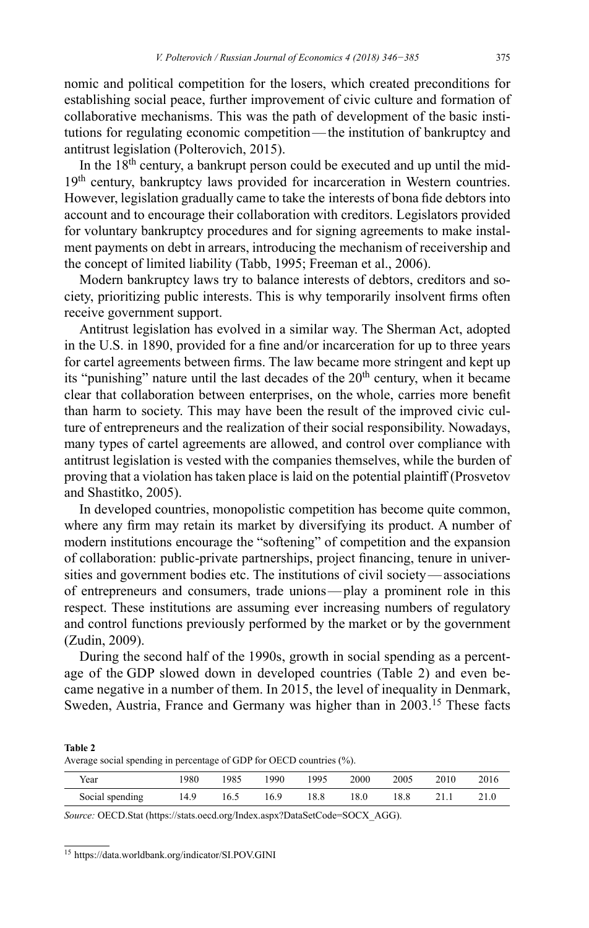nomic and political competition for the losers, which created preconditions for establishing social peace, further improvement of civic culture and formation of collaborative mechanisms. This was the path of development of the basic institutions for regulating economic competition—the institution of bankruptcy and antitrust legislation (Polterovich, 2015).

In the  $18<sup>th</sup>$  century, a bankrupt person could be executed and up until the mid-19<sup>th</sup> century, bankruptcy laws provided for incarceration in Western countries. However, legislation gradually came to take the interests of bona fide debtors into account and to encourage their collaboration with creditors. Legislators provided for voluntary bankruptcy procedures and for signing agreements to make instalment payments on debt in arrears, introducing the mechanism of receivership and the concept of limited liability (Tabb, 1995; Freeman et al., 2006).

Modern bankruptcy laws try to balance interests of debtors, creditors and society, prioritizing public interests. This is why temporarily insolvent firms often receive government support.

Antitrust legislation has evolved in a similar way. The Sherman Act, adopted in the U.S. in 1890, provided for a fine and/or incarceration for up to three years for cartel agreements between firms. The law became more stringent and kept up its "punishing" nature until the last decades of the  $20<sup>th</sup>$  century, when it became clear that collaboration between enterprises, on the whole, carries more benefit than harm to society. This may have been the result of the improved civic culture of entrepreneurs and the realization of their social responsibility. Nowadays, many types of cartel agreements are allowed, and control over compliance with antitrust legislation is vested with the companies themselves, while the burden of proving that a violation has taken place is laid on the potential plaintiff (Prosvetov and Shastitko, 2005).

In developed countries, monopolistic competition has become quite common, where any firm may retain its market by diversifying its product. A number of modern institutions encourage the "softening" of competition and the expansion of collaboration: public-private partnerships, project financing, tenure in universities and government bodies etc. The institutions of civil society—associations of entrepreneurs and consumers, trade unions—play a prominent role in this respect. These institutions are assuming ever increasing numbers of regulatory and control functions previously performed by the market or by the government (Zudin, 2009).

During the second half of the 1990s, growth in social spending as a percentage of the GDP slowed down in developed countries (Table 2) and even became negative in a number of them. In 2015, the level of inequality in Denmark, Sweden, Austria, France and Germany was higher than in 2003.<sup>15</sup> These facts

**Table 2** Average social spending in percentage of GDP for OECD countries (%).

| Year            | 980  | 1985 | 1990 | 1995 | 2000 | 2005 | 2010 | 2016 |
|-----------------|------|------|------|------|------|------|------|------|
| Social spending | 14.9 | 16.5 | 16.9 | 18.8 | 18.0 | 18.8 | 21.1 | 21.0 |

*Source:* OECD.Stat [\(https://stats.oecd.org/Index.aspx?DataSetCode=SOCX\\_AGG\)](https://stats.oecd.org/Index.aspx?DataSetCode=SOCX_AGG).

<sup>15</sup> <https://data.worldbank.org/indicator/SI.POV.GINI>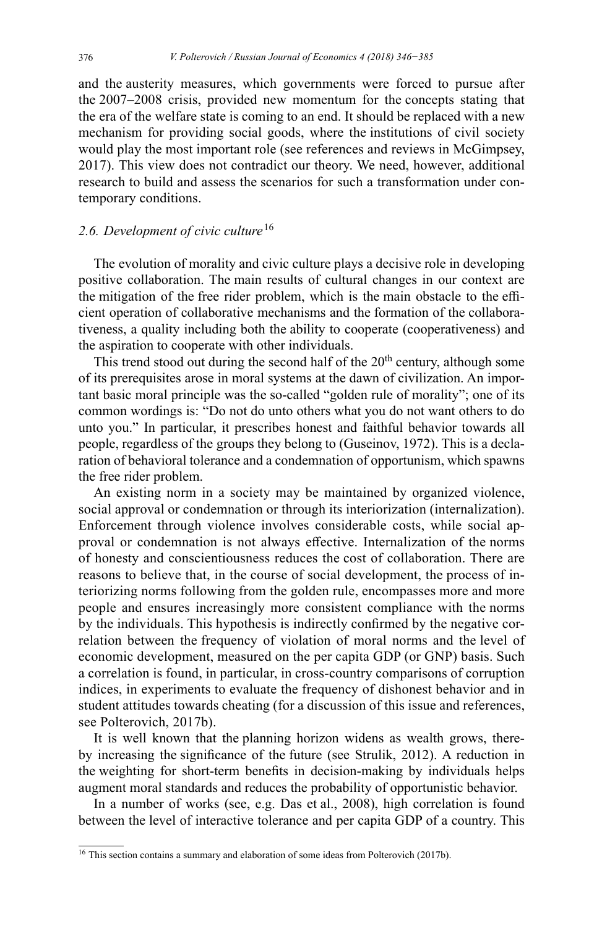and the austerity measures, which governments were forced to pursue after the 2007–2008 crisis, provided new momentum for the concepts stating that the era of the welfare state is coming to an end. It should be replaced with a new mechanism for providing social goods, where the institutions of civil society would play the most important role (see references and reviews in McGimpsey, 2017). This view does not contradict our theory. We need, however, additional research to build and assess the scenarios for such a transformation under contemporary conditions.

# *2.6. Development of civic culture* <sup>16</sup>

The evolution of morality and civic culture plays a decisive role in developing positive collaboration. The main results of cultural changes in our context are the mitigation of the free rider problem, which is the main obstacle to the efficient operation of collaborative mechanisms and the formation of the collaborativeness, a quality including both the ability to cooperate (cooperativeness) and the aspiration to cooperate with other individuals.

This trend stood out during the second half of the  $20<sup>th</sup>$  century, although some of its prerequisites arose in moral systems at the dawn of civilization. An important basic moral principle was the so-called "golden rule of morality"; one of its common wordings is: "Do not do unto others what you do not want others to do unto you." In particular, it prescribes honest and faithful behavior towards all people, regardless of the groups they belong to (Guseinov, 1972). This is a declaration of behavioral tolerance and a condemnation of opportunism, which spawns the free rider problem.

An existing norm in a society may be maintained by organized violence, social approval or condemnation or through its interiorization (internalization). Enforcement through violence involves considerable costs, while social approval or condemnation is not always effective. Internalization of the norms of honesty and conscientiousness reduces the cost of collaboration. There are reasons to believe that, in the course of social development, the process of interiorizing norms following from the golden rule, encompasses more and more people and ensures increasingly more consistent compliance with the norms by the individuals. This hypothesis is indirectly confirmed by the negative correlation between the frequency of violation of moral norms and the level of economic development, measured on the per capita GDP (or GNP) basis. Such a correlation is found, in particular, in cross-country comparisons of corruption indices, in experiments to evaluate the frequency of dishonest behavior and in student attitudes towards cheating (for a discussion of this issue and references, see Polterovich, 2017b).

It is well known that the planning horizon widens as wealth grows, thereby increasing the significance of the future (see Strulik, 2012). A reduction in the weighting for short-term benefits in decision-making by individuals helps augment moral standards and reduces the probability of opportunistic behavior.

In a number of works (see, e.g. Das et al., 2008), high correlation is found between the level of interactive tolerance and per capita GDP of a country. This

<sup>&</sup>lt;sup>16</sup> This section contains a summary and elaboration of some ideas from Polterovich (2017b).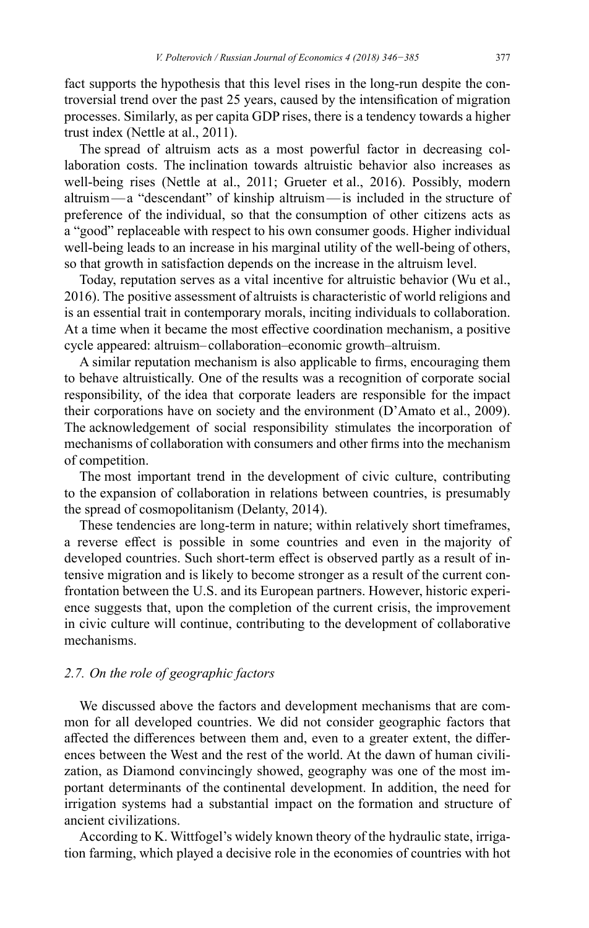fact supports the hypothesis that this level rises in the long-run despite the controversial trend over the past 25 years, caused by the intensification of migration processes. Similarly, as per capita GDP rises, there is a tendency towards a higher trust index (Nettle at al., 2011).

The spread of altruism acts as a most powerful factor in decreasing collaboration costs. The inclination towards altruistic behavior also increases as well-being rises (Nettle at al., 2011; Grueter et al., 2016). Possibly, modern altruism—a "descendant" of kinship altruism—is included in the structure of preference of the individual, so that the consumption of other citizens acts as a "good" replaceable with respect to his own consumer goods. Higher individual well-being leads to an increase in his marginal utility of the well-being of others, so that growth in satisfaction depends on the increase in the altruism level.

Today, reputation serves as a vital incentive for altruistic behavior (Wu et al., 2016). The positive assessment of altruists is characteristic of world religions and is an essential trait in contemporary morals, inciting individuals to collaboration. At a time when it became the most effective coordination mechanism, a positive cycle appeared: altruism–collaboration–economic growth–altruism.

A similar reputation mechanism is also applicable to firms, encouraging them to behave altruistically. One of the results was a recognition of corporate social responsibility, of the idea that corporate leaders are responsible for the impact their corporations have on society and the environment (D'Amato et al., 2009). The acknowledgement of social responsibility stimulates the incorporation of mechanisms of collaboration with consumers and other firms into the mechanism of competition.

The most important trend in the development of civic culture, contributing to the expansion of collaboration in relations between countries, is presumably the spread of cosmopolitanism (Delanty, 2014).

These tendencies are long-term in nature; within relatively short timeframes, a reverse effect is possible in some countries and even in the majority of developed countries. Such short-term effect is observed partly as a result of intensive migration and is likely to become stronger as a result of the current confrontation between the U.S. and its European partners. However, historic experience suggests that, upon the completion of the current crisis, the improvement in civic culture will continue, contributing to the development of collaborative mechanisms.

# *2.7. On the role of geographic factors*

We discussed above the factors and development mechanisms that are common for all developed countries. We did not consider geographic factors that affected the differences between them and, even to a greater extent, the differences between the West and the rest of the world. At the dawn of human civilization, as Diamond convincingly showed, geography was one of the most important determinants of the continental development. In addition, the need for irrigation systems had a substantial impact on the formation and structure of ancient civilizations.

According to K. Wittfogel's widely known theory of the hydraulic state, irrigation farming, which played a decisive role in the economies of countries with hot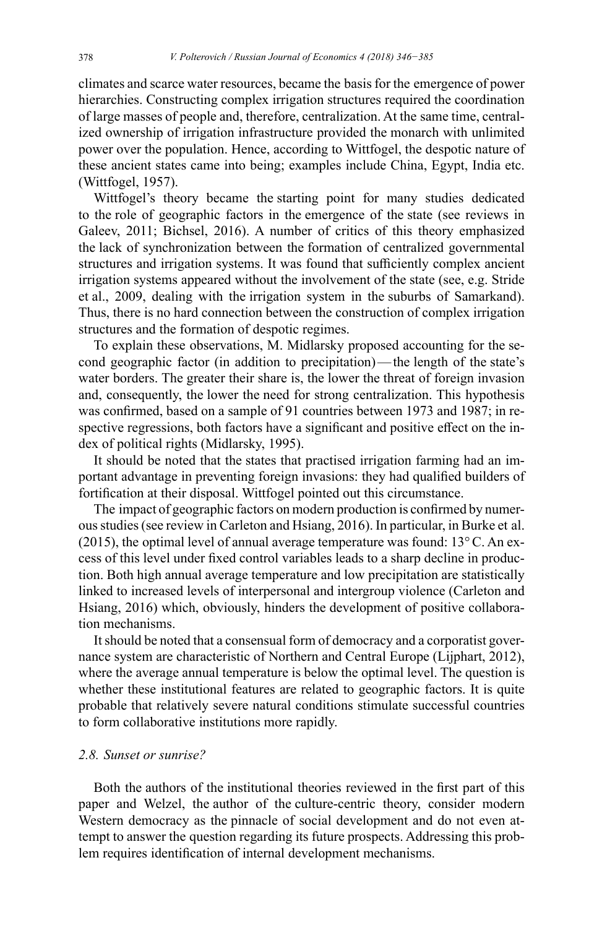climates and scarce water resources, became the basis for the emergence of power hierarchies. Constructing complex irrigation structures required the coordination of large masses of people and, therefore, centralization. At the same time, centralized ownership of irrigation infrastructure provided the monarch with unlimited power over the population. Hence, according to Wittfogel, the despotic nature of these ancient states came into being; examples include China, Egypt, India etc. (Wittfogel, 1957).

Wittfogel's theory became the starting point for many studies dedicated to the role of geographic factors in the emergence of the state (see reviews in Galeev, 2011; Bichsel, 2016). A number of critics of this theory emphasized the lack of synchronization between the formation of centralized governmental structures and irrigation systems. It was found that sufficiently complex ancient irrigation systems appeared without the involvement of the state (see, e.g. Stride et al., 2009, dealing with the irrigation system in the suburbs of Samarkand). Thus, there is no hard connection between the construction of complex irrigation structures and the formation of despotic regimes.

To explain these observations, M. Midlarsky proposed accounting for the second geographic factor (in addition to precipitation)—the length of the state's water borders. The greater their share is, the lower the threat of foreign invasion and, consequently, the lower the need for strong centralization. This hypothesis was confirmed, based on a sample of 91 countries between 1973 and 1987; in respective regressions, both factors have a significant and positive effect on the index of political rights (Midlarsky, 1995).

It should be noted that the states that practised irrigation farming had an important advantage in preventing foreign invasions: they had qualified builders of fortification at their disposal. Wittfogel pointed out this circumstance.

The impact of geographic factors on modern production is confirmed by numerous studies (see review in Carleton and Hsiang, 2016). In particular, in Burke et al. (2015), the optimal level of annual average temperature was found:  $13^{\circ}$ C. An excess of this level under fixed control variables leads to a sharp decline in production. Both high annual average temperature and low precipitation are statistically linked to increased levels of interpersonal and intergroup violence (Carleton and Hsiang, 2016) which, obviously, hinders the development of positive collaboration mechanisms.

It should be noted that a consensual form of democracy and a corporatist governance system are characteristic of Northern and Central Europe (Lijphart, 2012), where the average annual temperature is below the optimal level. The question is whether these institutional features are related to geographic factors. It is quite probable that relatively severe natural conditions stimulate successful countries to form collaborative institutions more rapidly.

# *2.8. Sunset or sunrise?*

Both the authors of the institutional theories reviewed in the first part of this paper and Welzel, the author of the culture-centric theory, consider modern Western democracy as the pinnacle of social development and do not even attempt to answer the question regarding its future prospects. Addressing this problem requires identification of internal development mechanisms.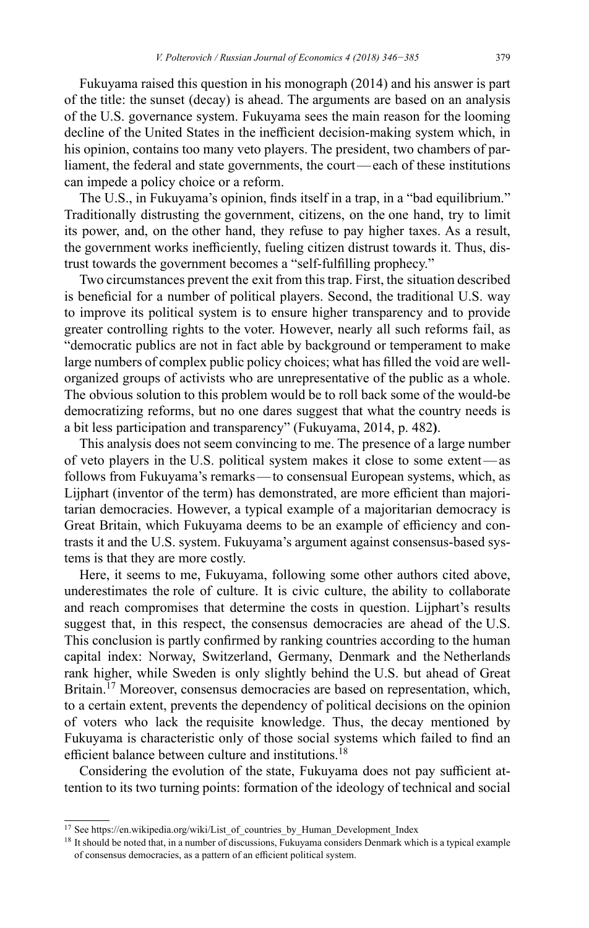Fukuyama raised this question in his monograph (2014) and his answer is part of the title: the sunset (decay) is ahead. The arguments are based on an analysis of the U.S. governance system. Fukuyama sees the main reason for the looming decline of the United States in the inefficient decision-making system which, in his opinion, contains too many veto players. The president, two chambers of parliament, the federal and state governments, the court—each of these institutions can impede a policy choice or a reform.

The U.S., in Fukuyama's opinion, finds itself in a trap, in a "bad equilibrium." Traditionally distrusting the government, citizens, on the one hand, try to limit its power, and, on the other hand, they refuse to pay higher taxes. As a result, the government works inefficiently, fueling citizen distrust towards it. Thus, distrust towards the government becomes a "self-fulfilling prophecy."

Two circumstances prevent the exit from this trap. First, the situation described is beneficial for a number of political players. Second, the traditional U.S. way to improve its political system is to ensure higher transparency and to provide greater controlling rights to the voter. However, nearly all such reforms fail, as "democratic publics are not in fact able by background or temperament to make large numbers of complex public policy choices; what has filled the void are wellorganized groups of activists who are unrepresentative of the public as a whole. The obvious solution to this problem would be to roll back some of the would-be democratizing reforms, but no one dares suggest that what the country needs is a bit less participation and transparency" (Fukuyama, 2014, p. 482**)**.

This analysis does not seem convincing to me. The presence of a large number of veto players in the U.S. political system makes it close to some extent—as follows from Fukuyama's remarks—to consensual European systems, which, as Lijphart (inventor of the term) has demonstrated, are more efficient than majoritarian democracies. However, a typical example of a majoritarian democracy is Great Britain, which Fukuyama deems to be an example of efficiency and contrasts it and the U.S. system. Fukuyama's argument against consensus-based systems is that they are more costly.

Here, it seems to me, Fukuyama, following some other authors cited above, underestimates the role of culture. It is civic culture, the ability to collaborate and reach compromises that determine the costs in question. Lijphart's results suggest that, in this respect, the consensus democracies are ahead of the U.S. This conclusion is partly confirmed by ranking countries according to the human capital index: Norway, Switzerland, Germany, Denmark and the Netherlands rank higher, while Sweden is only slightly behind the U.S. but ahead of Great Britain.<sup>17</sup> Moreover, consensus democracies are based on representation, which, to a certain extent, prevents the dependency of political decisions on the opinion of voters who lack the requisite knowledge. Thus, the decay mentioned by Fukuyama is characteristic only of those social systems which failed to find an efficient balance between culture and institutions.<sup>18</sup>

Considering the evolution of the state, Fukuyama does not pay sufficient attention to its two turning points: formation of the ideology of technical and social

<sup>17</sup> See [https://en.wikipedia.org/wiki/List\\_of\\_countries\\_by\\_Human\\_Development\\_Index](https://en.wikipedia.org/wiki/List_of_countries_by_Human_Development_Index)

<sup>&</sup>lt;sup>18</sup> It should be noted that, in a number of discussions, Fukuyama considers Denmark which is a typical example of consensus democracies, as a pattern of an efficient political system.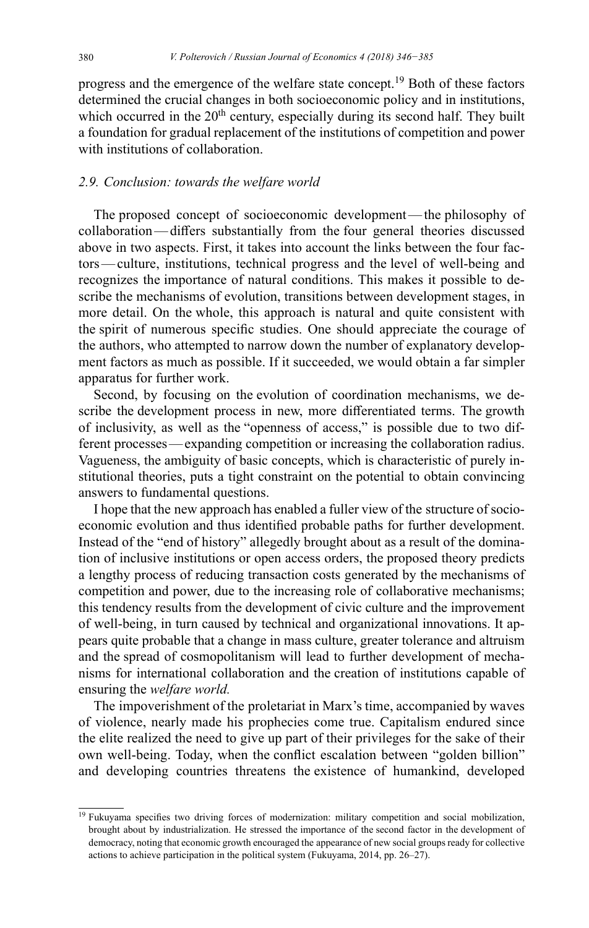progress and the emergence of the welfare state concept.<sup>19</sup> Both of these factors determined the crucial changes in both socioeconomic policy and in institutions, which occurred in the  $20<sup>th</sup>$  century, especially during its second half. They built a foundation for gradual replacement of the institutions of competition and power with institutions of collaboration.

## *2.9. Conclusion: towards the welfare world*

The proposed concept of socioeconomic development—the philosophy of collaboration—differs substantially from the four general theories discussed above in two aspects. First, it takes into account the links between the four factors—culture, institutions, technical progress and the level of well-being and recognizes the importance of natural conditions. This makes it possible to describe the mechanisms of evolution, transitions between development stages, in more detail. On the whole, this approach is natural and quite consistent with the spirit of numerous specific studies. One should appreciate the courage of the authors, who attempted to narrow down the number of explanatory development factors as much as possible. If it succeeded, we would obtain a far simpler apparatus for further work.

Second, by focusing on the evolution of coordination mechanisms, we describe the development process in new, more differentiated terms. The growth of inclusivity, as well as the "openness of access," is possible due to two different processes—expanding competition or increasing the collaboration radius. Vagueness, the ambiguity of basic concepts, which is characteristic of purely institutional theories, puts a tight constraint on the potential to obtain convincing answers to fundamental questions.

I hope that the new approach has enabled a fuller view of the structure of socioeconomic evolution and thus identified probable paths for further development. Instead of the "end of history" allegedly brought about as a result of the domination of inclusive institutions or open access orders, the proposed theory predicts a lengthy process of reducing transaction costs generated by the mechanisms of competition and power, due to the increasing role of collaborative mechanisms; this tendency results from the development of civic culture and the improvement of well-being, in turn caused by technical and organizational innovations. It appears quite probable that a change in mass culture, greater tolerance and altruism and the spread of cosmopolitanism will lead to further development of mechanisms for international collaboration and the creation of institutions capable of ensuring the *welfare world.*

The impoverishment of the proletariat in Marx's time, accompanied by waves of violence, nearly made his prophecies come true. Capitalism endured since the elite realized the need to give up part of their privileges for the sake of their own well-being. Today, when the conflict escalation between "golden billion" and developing countries threatens the existence of humankind, developed

<sup>&</sup>lt;sup>19</sup> Fukuyama specifies two driving forces of modernization: military competition and social mobilization, brought about by industrialization. He stressed the importance of the second factor in the development of democracy, noting that economic growth encouraged the appearance of new social groups ready for collective actions to achieve participation in the political system (Fukuyama, 2014, pp. 26–27).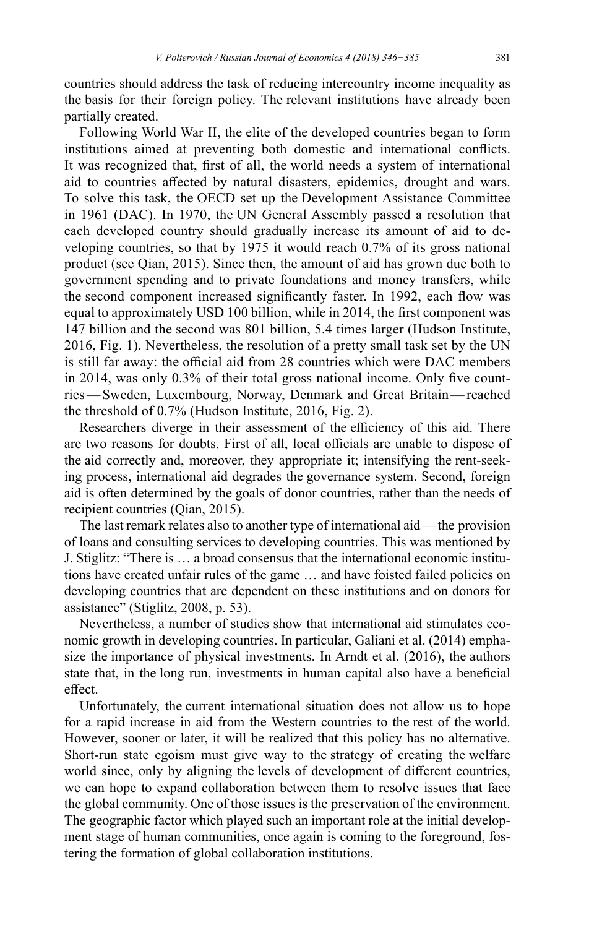countries should address the task of reducing intercountry income inequality as the basis for their foreign policy. The relevant institutions have already been partially created.

Following World War II, the elite of the developed countries began to form institutions aimed at preventing both domestic and international conflicts. It was recognized that, first of all, the world needs a system of international aid to countries affected by natural disasters, epidemics, drought and wars. To solve this task, the OECD set up the Development Assistance Committee in 1961 (DAC). In 1970, the UN General Assembly passed a resolution that each developed country should gradually increase its amount of aid to developing countries, so that by 1975 it would reach 0.7% of its gross national product (see Qian, 2015). Since then, the amount of aid has grown due both to government spending and to private foundations and money transfers, while the second component increased significantly faster. In 1992, each flow was equal to approximately USD 100 billion, while in 2014, the first component was 147 billion and the second was 801 billion, 5.4 times larger (Hudson Institute, 2016, Fig. 1). Nevertheless, the resolution of a pretty small task set by the UN is still far away: the official aid from 28 countries which were DAC members in 2014, was only 0.3% of their total gross national income. Only five countries—Sweden, Luxembourg, Norway, Denmark and Great Britain—reached the threshold of 0.7% (Hudson Institute, 2016, Fig. 2).

Researchers diverge in their assessment of the efficiency of this aid. There are two reasons for doubts. First of all, local officials are unable to dispose of the aid correctly and, moreover, they appropriate it; intensifying the rent-seeking process, international aid degrades the governance system. Second, foreign aid is often determined by the goals of donor countries, rather than the needs of recipient countries (Qian, 2015).

The last remark relates also to another type of international aid—the provision of loans and consulting services to developing countries. This was mentioned by J. Stiglitz: "There is … a broad consensus that the international economic institutions have created unfair rules of the game … and have foisted failed policies on developing countries that are dependent on these institutions and on donors for assistance" (Stiglitz, 2008, p. 53).

Nevertheless, a number of studies show that international aid stimulates economic growth in developing countries. In particular, Galiani et al. (2014) emphasize the importance of physical investments. In Arndt et al. (2016), the authors state that, in the long run, investments in human capital also have a beneficial effect.

Unfortunately, the current international situation does not allow us to hope for a rapid increase in aid from the Western countries to the rest of the world. However, sooner or later, it will be realized that this policy has no alternative. Short-run state egoism must give way to the strategy of creating the welfare world since, only by aligning the levels of development of different countries, we can hope to expand collaboration between them to resolve issues that face the global community. One of those issues is the preservation of the environment. The geographic factor which played such an important role at the initial development stage of human communities, once again is coming to the foreground, fostering the formation of global collaboration institutions.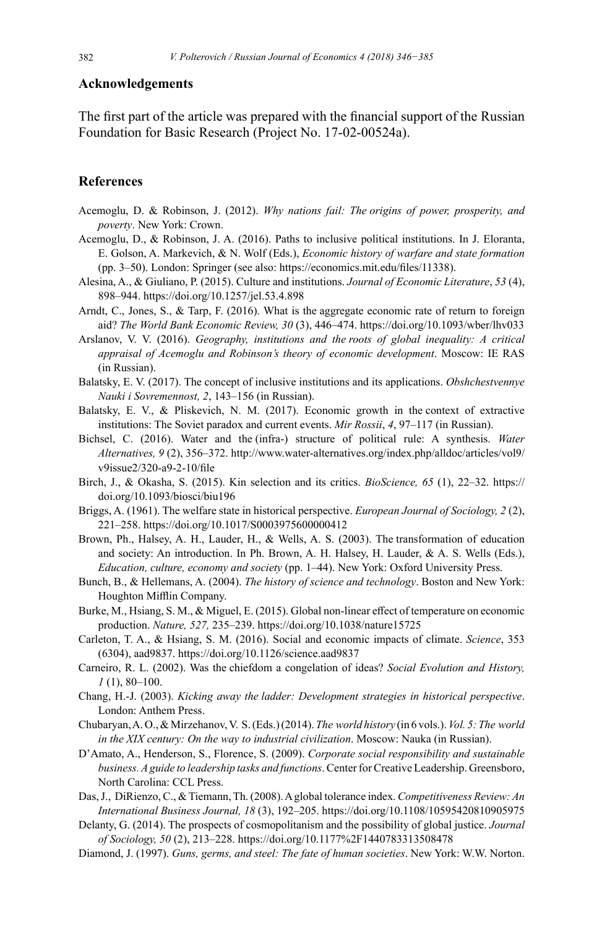#### **Acknowledgements**

The first part of the article was prepared with the financial support of the Russian Foundation for Basic Research (Project No. 17-02-00524а).

#### **References**

- Acemoglu, D. & Robinson, J. (2012). *Why nations fail: The origins of power, prosperity, and poverty*. New York: Crown.
- Acemoglu, D., & Robinson, J. A. (2016). Paths to inclusive political institutions. In J. Eloranta, E. Golson, A. Markevich, & N. Wolf (Eds.), *Economic history of warfare and state formation*  (pp. 3–50). London: Springer (see also: <https://economics.mit.edu/files/11338>).
- Alesina, A., & Giuliano, P. (2015). Culture and institutions. *Journal of Economic Literature*, *53* (4), 898–944. <https://doi.org/10.1257/jel.53.4.898>
- Arndt, C., Jones, S., & Tarp, F. (2016). What is the aggregate economic rate of return to foreign aid? *The World Bank Economic Review, 30* (3), 446–474. <https://doi.org/10.1093/wber/lhv033>
- Arslanov, V. V. (2016). *Geography, institutions and the roots of global inequality: A critical appraisal of Acemoglu and Robinson's theory of economic development*. Moscow: IE RAS (in Russian).
- Balatsky, E. V. (2017). The concept of inclusive institutions and its applications. *Obshchestvennye Nauki i Sovremennost, 2*, 143–156 (in Russian).
- Balatsky, E. V., & Pliskevich, N. M. (2017). Economic growth in the context of extractive institutions: The Soviet paradox and current events. *Mir Rossii*, *4*, 97–117 (in Russian).
- Bichsel, C. (2016). Water and the (infra-) structure of political rule: A synthesis. *Water Alternatives, 9* (2), 356–372. [http://www.water-alternatives.org/index.php/alldoc/articles/vol9/](http://www.water-alternatives.org/index.php/alldoc/articles/vol9/v9issue2/320-a9-2-10/file) [v9issue2/320-a9-2-10/file](http://www.water-alternatives.org/index.php/alldoc/articles/vol9/v9issue2/320-a9-2-10/file)
- Birch, J., & Okasha, S. (2015). Kin selection and its critics. *BioScience, 65* (1), 22–32. https:// doi.org/10.1093/biosci/biu196
- Briggs, A. (1961). The welfare state in historical perspective. *European Journal of Sociology, 2* (2), 221–258. <https://doi.org/10.1017/S0003975600000412>
- Brown, Ph., Halsey, A. H., Lauder, H., & Wells, A. S. (2003). The transformation of education and society: An introduction. In Ph. Brown, A. H. Halsey, H. Lauder, & A. S. Wells (Eds.), *Education, culture, economy and society* (pp. 1–44). New York: Oxford University Press.
- Bunch, B., & Hellemans, A. (2004). *The history of science and technology*. Boston and New York: Houghton Mifflin Company.
- Burke, M., Hsiang, S. M., & Miguel, E. (2015). Global non-linear effect of temperature on economic production. *Nature, 527,* 235–239. <https://doi.org/10.1038/nature15725>
- Carleton, T. A., & Hsiang, S. M. (2016). Social and economic impacts of climate. *Science*, 353 (6304), aad9837.<https://doi.org/10.1126/science.aad9837>
- Carneiro, R. L. (2002). Was the chiefdom a congelation of ideas? *Social Evolution and History, 1* (1), 80–100.
- Chang, H.-J. (2003). *Kicking away the ladder: Development strategies in historical perspective*. London: Anthem Press.
- Chubaryan, A.O., & Mirzehanov, V. S. (Eds.) (2014). *The world history* (in 6 vols.). *Vol. 5: The world in the XIX century: On the way to industrial civilization*. Moscow: Nauka (in Russian).
- D'Amato, A., Henderson, S., Florence, S. (2009). *Corporate social responsibility and sustainable business. Aguide to leadership tasks and functions*. Center for Creative Leadership. Greensboro, North Carolina: CCL Press.
- Das, J., DiRienzo, C., & Tiemann, Th. (2008). Aglobal tolerance index. *Competitiveness Review: An International Business Journal, 18* (3), 192–205. <https://doi.org/10.1108/10595420810905975>
- Delanty, G. (2014). The prospects of cosmopolitanism and the possibility of global justice. *Journal of Sociology, 50* (2), 213–228. [https://doi.org/10.1177%2F1440783313508478](https://doi.org/10.1177/1440783313508478)
- Diamond, J. (1997). *Guns, germs, and steel: The fate of human societies*. New York: W.W. Norton.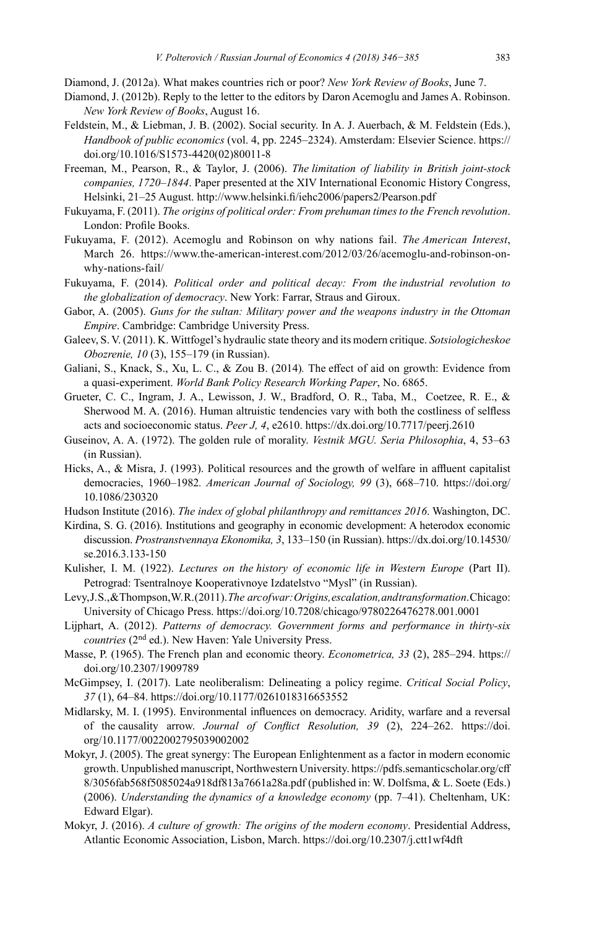- Diamond, J. (2012a). What makes countries rich or poor? *New York Review of Books*, June 7.
- Diamond, J. (2012b). Reply to the letter to the editors by Daron Acemoglu and James A. Robinson. *New York Review of Books*, August 16.
- Feldstein, M., & Liebman, J. B. (2002). Social security. In A. J. Auerbach, & M. Feldstein (Eds.), *Handbook of public economics* (vol. 4, pp. 2245–2324). Amsterdam: Elsevier Science. [https://](https://doi.org/10.1016/S1573-4420(02)80011-8) [doi.org/10.1016/S1573-4420\(02\)80011-8](https://doi.org/10.1016/S1573-4420(02)80011-8)
- Freeman, M., Pearson, R., & Taylor, J. (2006). *The limitation of liability in British joint-stock companies, 1720–1844*. Paper presented at the XIV International Economic History Congress, Helsinki, 21–25 August. <http://www.helsinki.fi/iehc2006/papers2/Pearson.pdf>
- Fukuyama, F. (2011). *The origins of political order: From prehuman times to the French revolution*. London: Profile Books.
- Fukuyama, F. (2012). Acemoglu and Robinson on why nations fail. *The American Interest*, March 26. [https://www.the-american-interest.com/2012/03/26/acemoglu-and-robinson-on](https://www.the-american-interest.com/2012/03/26/acemoglu-and-robinson-on-why-nations-fail/)[why-nations-fail/](https://www.the-american-interest.com/2012/03/26/acemoglu-and-robinson-on-why-nations-fail/)
- Fukuyama, F. (2014). *Political order and political decay: From the industrial revolution to the globalization of democracy*. New York: Farrar, Straus and Giroux.
- Gabor, A. (2005). *Guns for the sultan: Military power and the weapons industry in the Ottoman Empire*. Cambridge: Cambridge University Press.
- Galeev, S. V. (2011). K. Wittfogel's hydraulic state theory and its modern critique. *Sotsiologicheskoe Obozrenie, 10* (3), 155–179 (in Russian).
- Galiani, S., Knack, S., Xu, L. C., & Zou B. (2014)*.* The effect of aid on growth: Evidence from a quasi-experiment. *World Bank Policy Research Working Paper*, No. 6865.
- Grueter, C. C., Ingram, J. A., Lewisson, J. W., Bradford, O. R., Taba, M., Coetzee, R. E., & Sherwood M. A. (2016). Human altruistic tendencies vary with both the costliness of selfless acts and socioeconomic status. *Peer J, 4*, e2610. <https://dx.doi.org/10.7717/peerj.2610>
- Guseinov, A. A. (1972). The golden rule of morality. *Vestnik MGU. Seria Philosophia*, 4, 53–63 (in Russian).
- Hicks, A., & Misra, J. (1993). Political resources and the growth of welfare in affluent capitalist democracies, 1960–1982*. American Journal of Sociology, 99* (3), 668–710. <https://doi.org/> 10.1086/230320
- Hudson Institute (2016). *The index of global philanthropy and remittances 2016*. Washington, DC.
- Kirdina, S. G. (2016). Institutions and geography in economic development: A heterodox economic discussion. *Prostranstvennaya Ekonomika, 3*, 133–150 (in Russian). [https://dx.doi.org/10.14530/](https://dx.doi.org/10.14530/se.2016.3.133-150) [se.2016.3.133-150](https://dx.doi.org/10.14530/se.2016.3.133-150)
- Kulisher, I. M. (1922). *Lectures on the history of economic life in Western Europe* (Part II). Petrograd: Tsentralnoye Kooperativnoye Izdatelstvo "Mysl" (in Russian).
- Levy, J. S., & Thompson, W. R. (2011). *The arc of war: Origins, escalation, and transformation*. Chicago: University of Chicago Press.<https://doi.org/10.7208/chicago/9780226476278.001.0001>
- Lijphart, A. (2012). *Patterns of democracy. Government forms and performance in thirty-six countries* (2nd ed.). New Haven: Yale University Press.
- Masse, P. (1965). The French plan and economic theory. *Econometrica, 33* (2), 285–294. [https://](https://doi.org/10.2307/1909789) [doi.org/10.2307/1909789](https://doi.org/10.2307/1909789)
- McGimpsey, I. (2017). Late neoliberalism: Delineating a policy regime. *Critical Social Policy*, *37* (1), 64–84. <https://doi.org/10.1177/0261018316653552>
- Midlarsky, M. I. (1995). Environmental influences on democracy. Aridity, warfare and a reversal of the causality arrow. *Journal of Conflict Resolution, 39* (2), 224–262. [https://doi.](https://doi.org/10.1177/0022002795039002002) [org/10.1177/0022002795039002002](https://doi.org/10.1177/0022002795039002002)
- Mokyr, J. (2005). The great synergy: The European Enlightenment as a factor in modern economic growth. Unpublished manuscript, Northwestern University. [https://pdfs.semanticscholar.org/cff](https://pdfs.semanticscholar.org/cff8/3056fab568f5085024a918df813a7661a28a.pdf) [8/3056fab568f5085024a918df813a7661a28a.pdf](https://pdfs.semanticscholar.org/cff8/3056fab568f5085024a918df813a7661a28a.pdf) (published in: W. Dolfsma, & L. Soete (Eds.) (2006). *Understanding the dynamics of a knowledge economy* (pp. 7–41). Cheltenham, UK: Edward Elgar).
- Mokyr, J. (2016). *A culture of growth: The origins of the modern economy*. Presidential Address, Atlantic Economic Association, Lisbon, March. <https://doi.org/10.2307/j.ctt1wf4dft>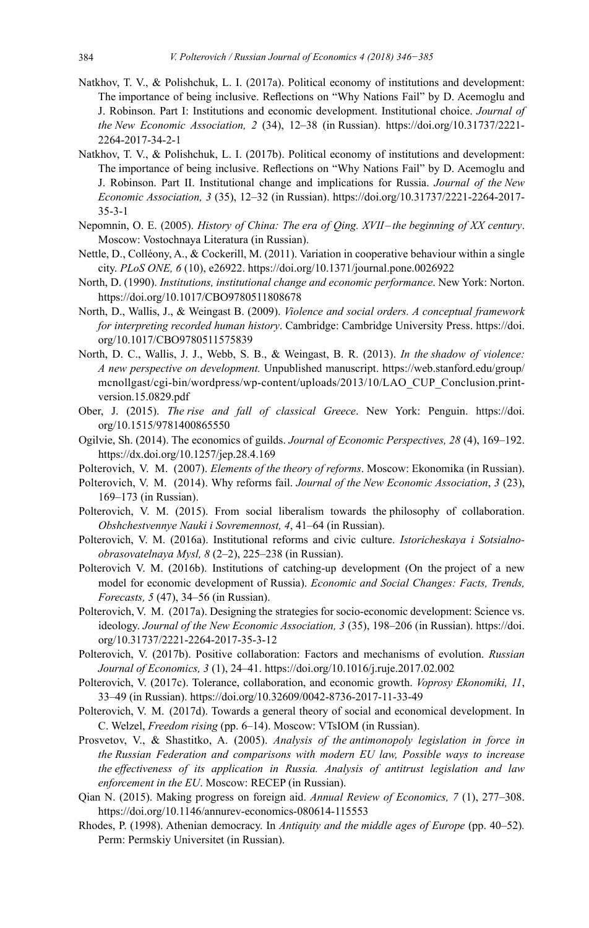- Natkhov, T. V., & Polishchuk, L. I. (2017a). Political economy of institutions and development: The importance of being inclusive. Reflections on "Why Nations Fail" by D. Acemoglu and J. Robinson. Part I: Institutions and economic development. Institutional choice. *Journal of the New Economic Association, 2* (34), 12–38 (in Russian). [https://doi.org/10.31737/2221-](https://doi.org/10.31737/2221-2264-2017-34-2-1) [2264-2017-34-2-1](https://doi.org/10.31737/2221-2264-2017-34-2-1)
- Natkhov, T. V., & Polishchuk, L. I. (2017b). Political economy of institutions and development: The importance of being inclusive. Reflections on "Why Nations Fail" by D. Acemoglu and J. Robinson. Part II. Institutional change and implications for Russia. *Journal of the New Economic Association, 3* (35), 12–32 (in Russian). [https://doi.org/10.31737/2221-2264-2017-](https://doi.org/10.31737/2221-2264-2017-35-3-1) [35-3-1](https://doi.org/10.31737/2221-2264-2017-35-3-1)
- Nepomnin, O. E. (2005). *History of China: The era of Qing. XVII –the beginning of XX century*. Moscow: Vostochnaya Literatura (in Russian).
- Nettle, D., Colléony, A., & Cockerill, M. (2011). Variation in cooperative behaviour within a single city. *PLoS ONE, 6* (10), e26922. <https://doi.org/10.1371/journal.pone.0026922>
- North, D. (1990). *Institutions, institutional change and economic performance*. New York: Norton. <https://doi.org/10.1017/CBO9780511808678>
- North, D., Wallis, J., & Weingast B. (2009). *Violence and social orders. A conceptual framework for interpreting recorded human history*. Cambridge: Cambridge University Press. [https://doi.](https://doi.org/10.1017/CBO9780511575839) [org/10.1017/CBO9780511575839](https://doi.org/10.1017/CBO9780511575839)
- North, D. C., Wallis, J. J., Webb, S. B., & Weingast, B. R. (2013). *In the shadow of violence: A new perspective on development.* Unpublished manuscript. [https://web.stanford.edu/group/](https://web.stanford.edu/group/mcnollgast/cgi-bin/wordpress/wp-content/uploads/2013/10/LAO_CUP_Conclusion.print-version.15.0829.pdf) [mcnollgast/cgi-bin/wordpress/wp-content/uploads/2013/10/LAO\\_CUP\\_Conclusion.print](https://web.stanford.edu/group/mcnollgast/cgi-bin/wordpress/wp-content/uploads/2013/10/LAO_CUP_Conclusion.print-version.15.0829.pdf)[version.15.0829.pdf](https://web.stanford.edu/group/mcnollgast/cgi-bin/wordpress/wp-content/uploads/2013/10/LAO_CUP_Conclusion.print-version.15.0829.pdf)
- Ober, J. (2015). *The rise and fall of classical Greece*. New York: Penguin. [https://doi.](https://doi.org/10.1515/9781400865550) [org/10.1515/9781400865550](https://doi.org/10.1515/9781400865550)
- Ogilvie, Sh. (2014). The economics of guilds. *Journal of Economic Perspectives, 28* (4), 169–192. <https://dx.doi.org/10.1257/jep.28.4.169>
- Polterovich, V. M. (2007). *Elements of the theory of reforms*. Мoscow: Ekonomika (in Russian).
- Polterovich, V. M. (2014). Why reforms fail. *Journal of the New Economic Association*, *3* (23), 169–173 (in Russian).
- Polterovich, V. M. (2015). From social liberalism towards the philosophy of collaboration. *Obshchestvennye Nauki i Sovremennost, 4*, 41–64 (in Russian).
- Polterovich, V. M. (2016a). Institutional reforms and civic culture. *Istoricheskaya i Sotsialnoobrasovatelnaya Mysl, 8* (2–2), 225–238 (in Russian).
- Polterovich V. M. (2016b). Institutions of catching-up development (On the project of a new model for economic development of Russia). *Economic and Social Changes: Facts, Trends, Forecasts, 5* (47), 34–56 (in Russian).
- Polterovich, V. M. (2017a). Designing the strategies for socio-economic development: Science vs. ideology. *Journal of the New Economic Association, 3* (35), 198–206 (in Russian). [https://doi.](https://doi.org/10.31737/2221-2264-2017-35-3-12) [org/10.31737/2221-2264-2017-35-3-12](https://doi.org/10.31737/2221-2264-2017-35-3-12)
- Polterovich, V. (2017b). Positive collaboration: Factors and mechanisms of evolution. *Russian Journal of Economics, 3* (1), 24–41.<https://doi.org/10.1016/j.ruje.2017.02.002>
- Polterovich, V. (2017с). Tolerance, collaboration, and economic growth. *Voprosy Ekonomiki, 11*, 33–49 (in Russian). <https://doi.org/10.32609/0042-8736-2017-11-33-49>
- Polterovich, V. M. (2017d). Towards a general theory of social and economical development. In C. Welzel, *Freedom rising* (pp. 6–14). Moscow: VTsIOM (in Russian).
- Prosvetov, V., & Shastitko, A. (2005). *Analysis of the antimonopoly legislation in force in the Russian Federation and comparisons with modern EU law, Possible ways to increase the effectiveness of its application in Russia. Analysis of antitrust legislation and law enforcement in the EU*. Moscow: RECEP (in Russian).
- Qian N. (2015). Making progress on foreign aid. *Annual Review of Economics, 7* (1), 277–308. <https://doi.org/10.1146/annurev-economics-080614-115553>
- Rhodes, P. (1998). Athenian democracy. In *Antiquity and the middle ages of Europe* (pp. 40–52)*.*  Perm: Permskiy Universitet (in Russian).